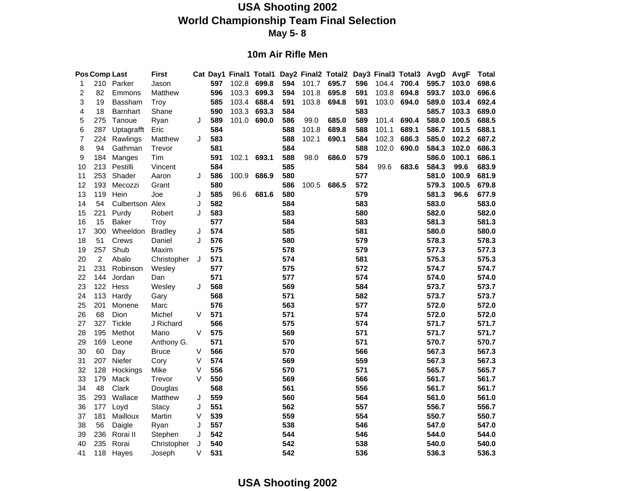#### **10m Air Rifle Men**

|              | <b>Pos Comp Last</b> |                 | <b>First</b>   |        |     |       |       |     |       | Cat Day1 Final1 Total1 Day2 Final2 Total2 Day3 Final3 Total3 |     |       |       | AvgD AvgF |       | <b>Total</b> |
|--------------|----------------------|-----------------|----------------|--------|-----|-------|-------|-----|-------|--------------------------------------------------------------|-----|-------|-------|-----------|-------|--------------|
| $\mathbf{1}$ |                      | 210 Parker      | Jason          |        | 597 | 102.8 | 699.8 | 594 | 101.7 | 695.7                                                        | 596 | 104.4 | 700.4 | 595.7     | 103.0 | 698.6        |
| 2            | 82                   | Emmons          | Matthew        |        | 596 | 103.3 | 699.3 | 594 | 101.8 | 695.8                                                        | 591 | 103.8 | 694.8 | 593.7     | 103.0 | 696.6        |
| 3            | 19                   | Bassham         | Troy           |        | 585 | 103.4 | 688.4 | 591 | 103.8 | 694.8                                                        | 591 | 103.0 | 694.0 | 589.0     | 103.4 | 692.4        |
| 4            | 18                   | <b>Barnhart</b> | Shane          |        | 590 | 103.3 | 693.3 | 584 |       |                                                              | 583 |       |       | 585.7     | 103.3 | 689.0        |
| 5            | 275                  | Tanoue          | Ryan           | J      | 589 | 101.0 | 690.0 | 586 | 99.0  | 685.0                                                        | 589 | 101.4 | 690.4 | 588.0     | 100.5 | 688.5        |
| 6            | 287                  | Uptagrafft      | Eric           |        | 584 |       |       | 588 | 101.8 | 689.8                                                        | 588 | 101.1 | 689.1 | 586.7     | 101.5 | 688.1        |
| 7            | 224                  | Rawlings        | Matthew        | J      | 583 |       |       | 588 | 102.1 | 690.1                                                        | 584 | 102.3 | 686.3 | 585.0     | 102.2 | 687.2        |
| 8            | 94                   | Gathman         | Trevor         |        | 581 |       |       | 584 |       |                                                              | 588 | 102.0 | 690.0 | 584.3     | 102.0 | 686.3        |
| 9            | 184                  | Manges          | Tim            |        | 591 | 102.1 | 693.1 | 588 | 98.0  | 686.0                                                        | 579 |       |       | 586.0     | 100.1 | 686.1        |
| 10           | 213                  | Pestilli        | Vincent        |        | 584 |       |       | 585 |       |                                                              | 584 | 99.6  | 683.6 | 584.3     | 99.6  | 683.9        |
| 11           | 253                  | Shader          | Aaron          | J      | 586 | 100.9 | 686.9 | 580 |       |                                                              | 577 |       |       | 581.0     | 100.9 | 681.9        |
| 12           | 193                  | Mecozzi         | Grant          |        | 580 |       |       | 586 | 100.5 | 686.5                                                        | 572 |       |       | 579.3     | 100.5 | 679.8        |
| 13           | 119                  | Hein            | Joe            | J      | 585 | 96.6  | 681.6 | 580 |       |                                                              | 579 |       |       | 581.3     | 96.6  | 677.9        |
| 14           | 54                   | Culbertson Alex |                | J      | 582 |       |       | 584 |       |                                                              | 583 |       |       | 583.0     |       | 583.0        |
| 15           | 221                  | Purdy           | Robert         | J      | 583 |       |       | 583 |       |                                                              | 580 |       |       | 582.0     |       | 582.0        |
| 16           | 15                   | <b>Baker</b>    | Troy           |        | 577 |       |       | 584 |       |                                                              | 583 |       |       | 581.3     |       | 581.3        |
| 17           | 300                  | Wheeldon        | <b>Bradley</b> | J      | 574 |       |       | 585 |       |                                                              | 581 |       |       | 580.0     |       | 580.0        |
| 18           | 51                   | Crews           | Daniel         | J      | 576 |       |       | 580 |       |                                                              | 579 |       |       | 578.3     |       | 578.3        |
| 19           | 257                  | Shub            | Maxim          |        | 575 |       |       | 578 |       |                                                              | 579 |       |       | 577.3     |       | 577.3        |
| 20           | $\overline{2}$       | Abalo           | Christopher    | J      | 571 |       |       | 574 |       |                                                              | 581 |       |       | 575.3     |       | 575.3        |
| 21           | 231                  | Robinson        | Wesley         |        | 577 |       |       | 575 |       |                                                              | 572 |       |       | 574.7     |       | 574.7        |
| 22           | 144                  | Jordan          | Dan            |        | 571 |       |       | 577 |       |                                                              | 574 |       |       | 574.0     |       | 574.0        |
| 23           | 122                  | Hess            | Wesley         | J      | 568 |       |       | 569 |       |                                                              | 584 |       |       | 573.7     |       | 573.7        |
| 24           | 113                  | Hardy           | Gary           |        | 568 |       |       | 571 |       |                                                              | 582 |       |       | 573.7     |       | 573.7        |
| 25           | 201                  | Monene          | Marc           |        | 576 |       |       | 563 |       |                                                              | 577 |       |       | 572.0     |       | 572.0        |
| 26           | 68                   | Dion            | Michel         | V      | 571 |       |       | 571 |       |                                                              | 574 |       |       | 572.0     |       | 572.0        |
| 27           | 327                  | Tickle          | J Richard      |        | 566 |       |       | 575 |       |                                                              | 574 |       |       | 571.7     |       | 571.7        |
| 28           | 195                  | Methot          | Mario          | V      | 575 |       |       | 569 |       |                                                              | 571 |       |       | 571.7     |       | 571.7        |
| 29           | 169                  | Leone           | Anthony G.     |        | 571 |       |       | 570 |       |                                                              | 571 |       |       | 570.7     |       | 570.7        |
| 30           | 60                   | Day             | <b>Bruce</b>   | $\vee$ | 566 |       |       | 570 |       |                                                              | 566 |       |       | 567.3     |       | 567.3        |
| 31           | 207                  | Niefer          | Cory           | V      | 574 |       |       | 569 |       |                                                              | 559 |       |       | 567.3     |       | 567.3        |
| 32           | 128                  | Hockings        | Mike           | $\vee$ | 556 |       |       | 570 |       |                                                              | 571 |       |       | 565.7     |       | 565.7        |
| 33           | 179                  | Mack            | Trevor         | V      | 550 |       |       | 569 |       |                                                              | 566 |       |       | 561.7     |       | 561.7        |
| 34           | 48                   | Clark           | Douglas        |        | 568 |       |       | 561 |       |                                                              | 556 |       |       | 561.7     |       | 561.7        |
| 35           | 293                  | Wallace         | Matthew        | J      | 559 |       |       | 560 |       |                                                              | 564 |       |       | 561.0     |       | 561.0        |
| 36           | 177                  | Loyd            | <b>Stacy</b>   | J      | 551 |       |       | 562 |       |                                                              | 557 |       |       | 556.7     |       | 556.7        |
| 37           | 181                  | Mailloux        | Martin         | V      | 539 |       |       | 559 |       |                                                              | 554 |       |       | 550.7     |       | 550.7        |
| 38           | 56                   | Daigle          | Ryan           | J      | 557 |       |       | 538 |       |                                                              | 546 |       |       | 547.0     |       | 547.0        |
| 39           | 236                  | Rorai II        | Stephen        | J      | 542 |       |       | 544 |       |                                                              | 546 |       |       | 544.0     |       | 544.0        |
| 40           | 235                  | Rorai           | Christopher    | J      | 540 |       |       | 542 |       |                                                              | 538 |       |       | 540.0     |       | 540.0        |
| 41           | 118                  | Hayes           | Joseph         | V      | 531 |       |       | 542 |       |                                                              | 536 |       |       | 536.3     |       | 536.3        |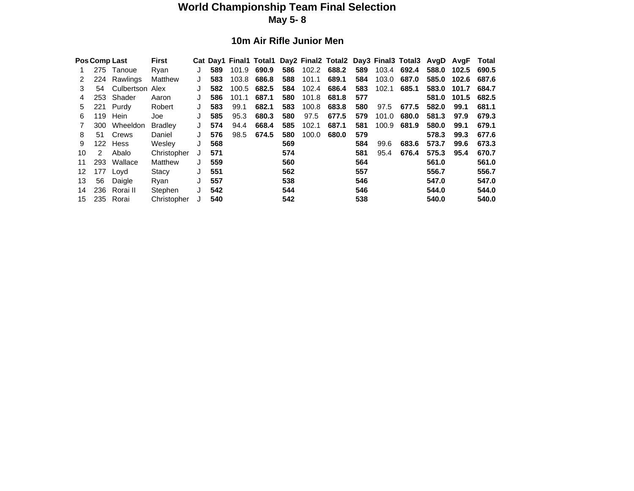#### **World Championship Team Final Selection May 5- 8**

#### **10m Air Rifle Junior Men**

|    |     | Pos Comp Last   | <b>First</b>   |   |     |       |       |     |       | Cat Day1 Final1 Total1 Day2 Final2 Total2 Day3 Final3 Total3 AvgD |     |       |       |       | AvaF  | Total |
|----|-----|-----------------|----------------|---|-----|-------|-------|-----|-------|-------------------------------------------------------------------|-----|-------|-------|-------|-------|-------|
|    | 275 | Tanoue          | Rvan           |   | 589 | 101.9 | 690.9 | 586 | 102.2 | 688.2                                                             | 589 | 103.4 | 692.4 | 588.0 | 102.5 | 690.5 |
|    | 224 | Rawlings        | Matthew        |   | 583 | 103.8 | 686.8 | 588 | 101.1 | 689.1                                                             | 584 | 103.0 | 687.0 | 585.0 | 102.6 | 687.6 |
| 3  | 54  | Culbertson Alex |                |   | 582 | 100.5 | 682.5 | 584 | 102.4 | 686.4                                                             | 583 | 102.1 | 685.1 | 583.0 | 101.7 | 684.7 |
|    | 253 | Shader          | Aaron          |   | 586 | 101.1 | 687.1 | 580 | 101.8 | 681.8                                                             | 577 |       |       | 581.0 | 101.5 | 682.5 |
| 5. | 221 | Purdv           | Robert         |   | 583 | 99.1  | 682.1 | 583 | 100.8 | 683.8                                                             | 580 | 97.5  | 677.5 | 582.0 | 99.1  | 681.1 |
| 6  | 119 | Hein            | Joe            |   | 585 | 95.3  | 680.3 | 580 | 97.5  | 677.5                                                             | 579 | 101.0 | 680.0 | 581.3 | 97.9  | 679.3 |
|    | 300 | Wheeldon        | <b>Bradley</b> |   | 574 | 94.4  | 668.4 | 585 | 102.1 | 687.1                                                             | 581 | 100.9 | 681.9 | 580.0 | 99.1  | 679.1 |
| 8  | 51  | Crews           | Daniel         |   | 576 | 98.5  | 674.5 | 580 | 100.0 | 680.0                                                             | 579 |       |       | 578.3 | 99.3  | 677.6 |
| 9  | 122 | Hess            | Weslev         |   | 568 |       |       | 569 |       |                                                                   | 584 | 99.6  | 683.6 | 573.7 | 99.6  | 673.3 |
| 10 | 2   | Abalo           | Christopher    |   | 571 |       |       | 574 |       |                                                                   | 581 | 95.4  | 676.4 | 575.3 | 95.4  | 670.7 |
| 11 | 293 | Wallace         | Matthew        | J | 559 |       |       | 560 |       |                                                                   | 564 |       |       | 561.0 |       | 561.0 |
| 12 | 177 | Loyd            | Stacy          |   | 551 |       |       | 562 |       |                                                                   | 557 |       |       | 556.7 |       | 556.7 |
| 13 | 56  | Daigle          | Ryan           |   | 557 |       |       | 538 |       |                                                                   | 546 |       |       | 547.0 |       | 547.0 |
| 14 | 236 | Rorai II        | Stephen        |   | 542 |       |       | 544 |       |                                                                   | 546 |       |       | 544.0 |       | 544.0 |
| 15 | 235 | Rorai           | Christopher    |   | 540 |       |       | 542 |       |                                                                   | 538 |       |       | 540.0 |       | 540.0 |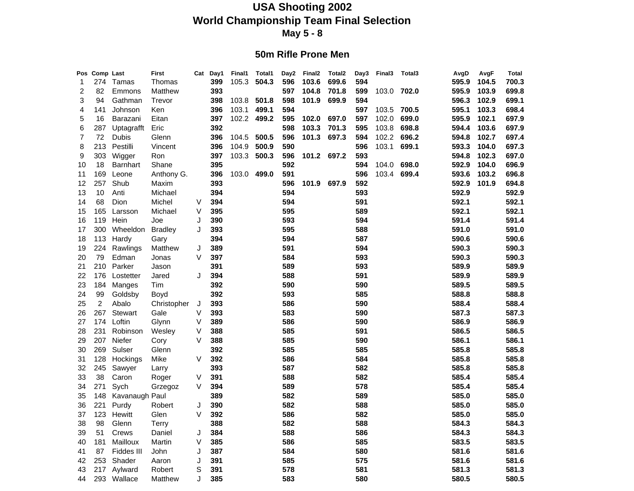#### **50m Rifle Prone Men**

| 595.9<br>274<br>Tamas<br>399<br>105.3<br>504.3<br>596<br>699.6<br>594<br>Thomas<br>103.6<br>1<br>$\overline{c}$<br>393<br>82<br>Matthew<br>597<br>104.8<br>701.8<br>599<br>103.0<br>702.0<br>595.9<br>Emmons<br>3<br>94<br>398<br>103.8<br>501.8<br>598<br>101.9<br>699.9<br>594<br>596.3<br>Gathman<br>Trevor | 104.5<br>700.3<br>103.9<br>699.8<br>102.9<br>699.1<br>103.3<br>698.4 |
|----------------------------------------------------------------------------------------------------------------------------------------------------------------------------------------------------------------------------------------------------------------------------------------------------------------|----------------------------------------------------------------------|
|                                                                                                                                                                                                                                                                                                                |                                                                      |
|                                                                                                                                                                                                                                                                                                                |                                                                      |
|                                                                                                                                                                                                                                                                                                                |                                                                      |
| 396<br>499.1<br>594<br>597<br>595.1<br>4<br>141<br>Johnson<br>Ken<br>103.1<br>103.5<br>700.5                                                                                                                                                                                                                   |                                                                      |
| 397<br>102.2<br>499.2<br>102.0<br>699.0<br>595.9<br>5<br>16<br>595<br>102.0<br>697.0<br>597<br>Barazani<br>Eitan                                                                                                                                                                                               | 102.1<br>697.9                                                       |
| 392<br>598<br>103.8<br>698.8<br>6<br>287<br>Eric<br>103.3<br>701.3<br>595<br>594.4<br>Uptagrafft                                                                                                                                                                                                               | 103.6<br>697.9                                                       |
| 7<br>396<br>500.5<br>596<br>101.3<br>697.3<br>102.2<br>696.2<br>72<br>Dubis<br>Glenn<br>104.5<br>594<br>594.8                                                                                                                                                                                                  | 102.7<br>697.4                                                       |
| 8<br>213<br>Pestilli<br>396<br>104.9<br>500.9<br>590<br>596<br>103.1<br>699.1<br>593.3<br>Vincent                                                                                                                                                                                                              | 104.0<br>697.3                                                       |
| 397<br>593<br>9<br>303<br>103.3<br>500.3<br>596<br>101.2 697.2<br>594.8<br>Wigger<br>Ron                                                                                                                                                                                                                       | 102.3<br>697.0                                                       |
| 395<br>592<br>594<br>10<br>18<br><b>Barnhart</b><br>Shane<br>104.0<br>698.0<br>592.9                                                                                                                                                                                                                           | 104.0<br>696.9                                                       |
| 169<br>396<br>499.0<br>591<br>596<br>103.4 699.4<br>593.6<br>Leone<br>Anthony G.<br>103.0<br>11                                                                                                                                                                                                                | 103.2<br>696.8                                                       |
| 12<br>257<br>Shub<br>393<br>596<br>101.9<br>697.9<br>592<br>592.9<br>Maxim                                                                                                                                                                                                                                     | 101.9<br>694.8                                                       |
| 394<br>594<br>593<br>592.9<br>13<br>10<br>Anti<br>Michael                                                                                                                                                                                                                                                      | 592.9                                                                |
| 594<br>591<br>592.1<br>14<br>68<br>Michel<br>V<br>394<br>Dion                                                                                                                                                                                                                                                  | 592.1                                                                |
| V<br>395<br>595<br>589<br>592.1<br>15<br>165<br>Michael<br>Larsson                                                                                                                                                                                                                                             | 592.1                                                                |
| 390<br>593<br>594<br>591.4<br>119<br>Hein<br>J<br>16<br>Joe                                                                                                                                                                                                                                                    | 591.4                                                                |
| 595<br>588<br>300<br>Wheeldon<br>J<br>393<br>591.0<br>17<br><b>Bradley</b>                                                                                                                                                                                                                                     | 591.0                                                                |
| 394<br>594<br>587<br>590.6<br>18<br>113<br>Hardy<br>Gary                                                                                                                                                                                                                                                       | 590.6                                                                |
| 591<br>594<br>19<br>224<br>J<br>389<br>590.3<br>Rawlings<br>Matthew                                                                                                                                                                                                                                            | 590.3                                                                |
| 397<br>584<br>593<br>79<br>Edman<br>V<br>590.3<br>20<br>Jonas                                                                                                                                                                                                                                                  | 590.3                                                                |
| 589<br>593<br>589.9<br>210<br>391<br>21<br>Parker<br>Jason                                                                                                                                                                                                                                                     | 589.9                                                                |
| 22<br>394<br>588<br>591<br>589.9<br>176<br>Lostetter<br>Jared<br>J                                                                                                                                                                                                                                             | 589.9                                                                |
| 590<br>590<br>23<br>184<br>392<br>589.5<br>Manges<br>Tim                                                                                                                                                                                                                                                       | 589.5                                                                |
| 593<br>585<br>99<br>392<br>588.8<br>24<br>Goldsby<br>Boyd                                                                                                                                                                                                                                                      | 588.8                                                                |
| $\overline{\mathbf{c}}$<br>393<br>586<br>590<br>588.4<br>25<br>Abalo<br>Christopher<br>J                                                                                                                                                                                                                       | 588.4                                                                |
| 267<br>Gale<br>V<br>393<br>583<br>590<br>587.3<br>26<br><b>Stewart</b>                                                                                                                                                                                                                                         | 587.3                                                                |
| V<br>389<br>586<br>590<br>586.9<br>27<br>174<br>Loftin<br>Glynn                                                                                                                                                                                                                                                | 586.9                                                                |
| 585<br>591<br>586.5<br>28<br>231<br>Robinson<br>V<br>388<br>Wesley                                                                                                                                                                                                                                             | 586.5                                                                |
| 207<br>Niefer<br>388<br>585<br>590<br>586.1<br>29<br>Cory<br>V                                                                                                                                                                                                                                                 | 586.1                                                                |
| Sulser<br>585<br>585<br>585.8<br>269<br>Glenn<br>392<br>30                                                                                                                                                                                                                                                     | 585.8                                                                |
| 392<br>586<br>584<br>585.8<br>128<br>Hockings<br>Mike<br>V<br>31                                                                                                                                                                                                                                               | 585.8                                                                |
| 393<br>587<br>582<br>585.8<br>32<br>245<br>Sawyer<br>Larry                                                                                                                                                                                                                                                     | 585.8                                                                |
| 588<br>582<br>585.4<br>33<br>38<br>Caron<br>V<br>391<br>Roger                                                                                                                                                                                                                                                  | 585.4                                                                |
| 589<br>578<br>585.4<br>271<br>V<br>394<br>34<br>Sych<br>Grzegoz                                                                                                                                                                                                                                                | 585.4                                                                |
| 582<br>589<br>585.0<br>389<br>35<br>148<br>Kavanaugh Paul                                                                                                                                                                                                                                                      | 585.0                                                                |
| 582<br>588<br>221<br>390<br>585.0<br>36<br>Purdy<br>Robert<br>J                                                                                                                                                                                                                                                | 585.0                                                                |
| 582<br>123<br>V<br>392<br>586<br>585.0<br>37<br>Hewitt<br>Glen                                                                                                                                                                                                                                                 | 585.0                                                                |
| 582<br>588<br>98<br>388<br>584.3<br>38<br>Glenn<br>Terry                                                                                                                                                                                                                                                       | 584.3                                                                |
| 384<br>588<br>586<br>584.3<br>39<br>51<br>Daniel<br>J<br>Crews                                                                                                                                                                                                                                                 | 584.3                                                                |
| V<br>385<br>586<br>585<br>583.5<br>40<br>181<br>Mailloux<br>Martin                                                                                                                                                                                                                                             | 583.5                                                                |
| 387<br>584<br>580<br>581.6<br>87<br>Fiddes III<br>John<br>J<br>41                                                                                                                                                                                                                                              | 581.6                                                                |
| 391<br>585<br>575<br>42<br>253<br>Shader<br>J<br>581.6<br>Aaron                                                                                                                                                                                                                                                | 581.6                                                                |
| 391<br>578<br>581<br>581.3<br>43<br>217<br>Aylward<br>Robert<br>S                                                                                                                                                                                                                                              | 581.3                                                                |
| J<br>385<br>583<br>580<br>580.5<br>293 Wallace<br>44<br>Matthew                                                                                                                                                                                                                                                | 580.5                                                                |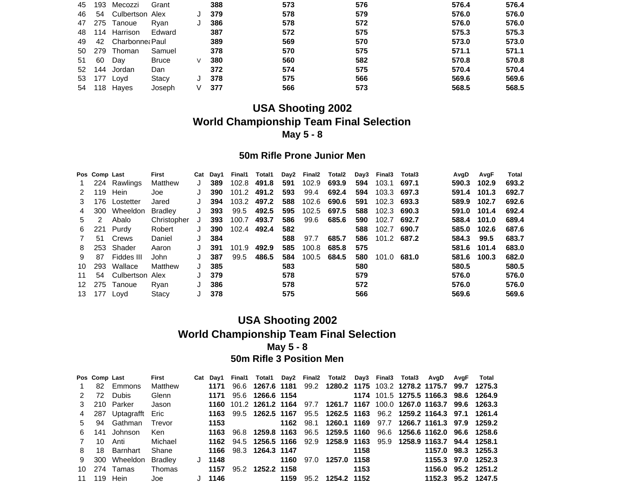| 45 | 193 | Mecozzi               | Grant        |   | 388 | 573 | 576 | 576.4 | 576.4 |
|----|-----|-----------------------|--------------|---|-----|-----|-----|-------|-------|
| 46 |     | 54 Culbertson Alex    |              |   | 379 | 578 | 579 | 576.0 | 576.0 |
|    |     | 47 275 Tanoue         | Rvan         |   | 386 | 578 | 572 | 576.0 | 576.0 |
|    |     | 48 114 Harrison       | Edward       |   | 387 | 572 | 575 | 575.3 | 575.3 |
|    |     | 49 42 Charbonne: Paul |              |   | 389 | 569 | 570 | 573.0 | 573.0 |
|    |     | 50 279 Thoman         | Samuel       |   | 378 | 570 | 575 | 571.1 | 571.1 |
| 51 | 60  | Day                   | <b>Bruce</b> | V | 380 | 560 | 582 | 570.8 | 570.8 |
| 52 | 144 | Jordan                | Dan          |   | 372 | 574 | 575 | 570.4 | 570.4 |
|    |     | 53 177 Loyd           | Stacy        |   | 378 | 575 | 566 | 569.6 | 569.6 |
|    |     | 54 118 Hayes          | Joseph       | V | 377 | 566 | 573 | 568.5 | 568.5 |

#### **50m Rifle Prone Junior Men**

|     | Pos Comp Last |                    | First          | Cat | Dav1 | Final1 | Total1      |     | Day2 Final2 | Total2 | Day3 | Final3      | Total3 | AvgD  | AvgF  | <b>Total</b> |
|-----|---------------|--------------------|----------------|-----|------|--------|-------------|-----|-------------|--------|------|-------------|--------|-------|-------|--------------|
|     |               | 224 Rawlings       | Matthew        |     | 389  | 102.8  | 491.8       | 591 | 102.9       | 693.9  | 594  | 103.1       | 697.1  | 590.3 | 102.9 | 693.2        |
| 2   | 119           | Hein               | Joe            |     | 390  | 101.2  | 491.2       | 593 | 99.4        | 692.4  | 594  | 103.3 697.3 |        | 591.4 | 101.3 | 692.7        |
| 3   |               | 176 Lostetter      | Jared          |     | 394  | 103.2  | 497.2       | 588 | 102.6       | 690.6  | 591  | 102.3 693.3 |        | 589.9 | 102.7 | 692.6        |
| 4   | 300           | Wheeldon           | <b>Bradley</b> |     | 393  | 99.5   | 492.5       | 595 | 102.5       | 697.5  | 588  | 102.3 690.3 |        | 591.0 | 101.4 | 692.4        |
| 5   | 2             | Abalo              | Christopher    | J   | 393  | 100.7  | 493.7       | 586 | 99.6        | 685.6  | 590  | 102.7       | 692.7  | 588.4 | 101.0 | 689.4        |
| 6   |               | 221 Purdy          | Robert         | J   | 390  |        | 102.4 492.4 | 582 |             |        | 588  | 102.7       | 690.7  | 585.0 | 102.6 | 687.6        |
| 7   |               | 51 Crews           | Daniel         |     | 384  |        |             | 588 | 97.7        | 685.7  | 586  | 101.2 687.2 |        | 584.3 | 99.5  | 683.7        |
| 8   |               | 253 Shader         | Aaron          |     | 391  | 101.9  | 492.9       | 585 | 100.8       | 685.8  | 575  |             |        | 581.6 | 101.4 | 683.0        |
| 9   | 87            | Fiddes III         | John           |     | 387  | 99.5   | 486.5       | 584 | 100.5       | 684.5  | 580  | 101.0       | 681.0  | 581.6 | 100.3 | 682.0        |
| 10. | 293           | Wallace            | Matthew        |     | 385  |        |             | 583 |             |        | 580  |             |        | 580.5 |       | 580.5        |
| 11  |               | 54 Culbertson Alex |                |     | 379  |        |             | 578 |             |        | 579  |             |        | 576.0 |       | 576.0        |
| 12  |               | 275 Tanoue         | Rvan           | J   | 386  |        |             | 578 |             |        | 572  |             |        | 576.0 |       | 576.0        |
|     | 13 177 Lovd   |                    | Stacy          |     | 378  |        |             | 575 |             |        | 566  |             |        | 569.6 |       | 569.6        |

#### **USA Shooting 2002 World Championship Team Final Selection May 5 - 8 50m Rifle 3 Position Men**

|              |    | Pos Comp Last       | First   |      |          |                         |  | Cat Day1 Final1 Total1 Day2 Final2 Total2 Day3 Final3 Total3 AvgD AvgF Total |      |                                                                                                                                                                                                                                 |                    |  |
|--------------|----|---------------------|---------|------|----------|-------------------------|--|------------------------------------------------------------------------------|------|---------------------------------------------------------------------------------------------------------------------------------------------------------------------------------------------------------------------------------|--------------------|--|
|              |    | 82 Emmons           | Matthew | 1171 |          |                         |  | 96.6 1267.6 1181 99.2 1280.2 1175 103.2 1278.2 1175.7 99.7 1275.3            |      |                                                                                                                                                                                                                                 |                    |  |
| 2            |    | 72 Dubis            | Glenn   | 1171 |          |                         |  | 95.6 1266.6 1154 1174 101.5 1275.5 1166.3 98.6 1264.9                        |      |                                                                                                                                                                                                                                 |                    |  |
|              |    | 3 210 Parker        | Jason   |      |          |                         |  | 1160 101.2 1261.2 1164 97.7 1261.7 1167 100.0 1267.0 1163.7 99.6 1263.3      |      |                                                                                                                                                                                                                                 |                    |  |
| 4            |    | 287 Uptagrafft Eric |         | 1163 |          |                         |  | 99.5 1262.5 1167 95.5 1262.5 1163 96.2 1259.2 1164.3 97.1 1261.4             |      |                                                                                                                                                                                                                                 |                    |  |
|              |    | 5 94 Gathman        | Trevor  | 1153 |          |                         |  | 1162 98.1 1260.1 1169 97.7 1266.7 1161.3 97.9 1259.2                         |      |                                                                                                                                                                                                                                 |                    |  |
| 6.           |    | 141 Johnson         | Ken     |      |          |                         |  | 1163 96.8 1259.8 1163 96.5 1259.5 1160 96.6 1256.6 1162.0 96.6 1258.6        |      |                                                                                                                                                                                                                                 |                    |  |
| $\mathbf{7}$ | 10 | Anti                | Michael |      |          |                         |  | 1162 94.5 1256.5 1166 92.9 1258.9 1163 95.9 1258.9 1163.7 94.4 1258.1        |      |                                                                                                                                                                                                                                 |                    |  |
| 8            |    | 18 Barnhart         | Shane   |      |          | 1166 98.3 1264.3 1147   |  |                                                                              |      | 1158 — 1158 — 1158 — 1158 — 1158 — 1158 — 1158 — 1158 — 1158 — 1158 — 1158 — 1159 — 1159 — 1159 — 1159 — 1159 — 1159 — 1159 — 1159 — 1159 — 1159 — 1159 — 1159 — 1159 — 1159 — 1159 — 1159 — 1159 — 1159 — 1159 — 1159 — 1159 — | 1157.0 98.3 1255.3 |  |
| 9            |    | 300 Wheeldon        | Bradley |      | $J$ 1148 |                         |  | 1160 97.0 1257.0 1158                                                        |      |                                                                                                                                                                                                                                 | 1155.3 97.0 1252.3 |  |
|              |    | 10 274 Tamas        | Thomas  | 1157 |          | 95.2 <b>1252.2 1158</b> |  |                                                                              | 1153 |                                                                                                                                                                                                                                 | 1156.0 95.2 1251.2 |  |
|              |    | 11 119 Hein         | Joe     |      |          |                         |  |                                                                              |      |                                                                                                                                                                                                                                 | 1152.3 95.2 1247.5 |  |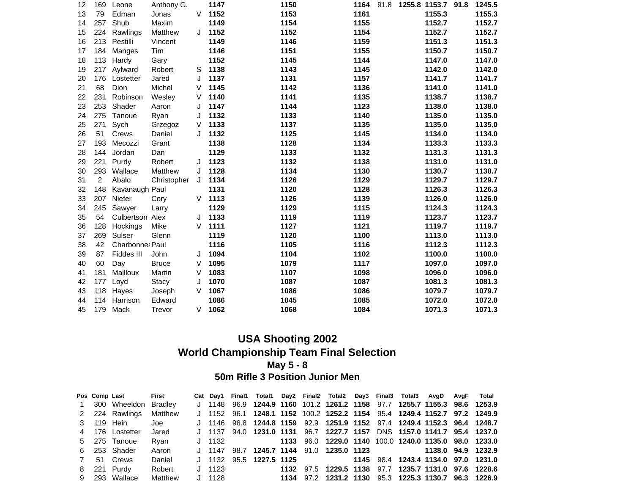| 12 | 169            | Leone           | Anthony G.   |         | 1147 | 1150 | 1164<br>91.8 | 1255.8 1153.7<br>91.8 | 1245.5 |
|----|----------------|-----------------|--------------|---------|------|------|--------------|-----------------------|--------|
| 13 | 79             | Edman           | Jonas        | V       | 1152 | 1153 | 1161         | 1155.3                | 1155.3 |
| 14 | 257            | Shub            | Maxim        |         | 1149 | 1154 | 1155         | 1152.7                | 1152.7 |
| 15 | 224            | Rawlings        | Matthew      | J       | 1152 | 1152 | 1154         | 1152.7                | 1152.7 |
| 16 | 213            | Pestilli        | Vincent      |         | 1149 | 1146 | 1159         | 1151.3                | 1151.3 |
| 17 | 184            | Manges          | Tim          |         | 1146 | 1151 | 1155         | 1150.7                | 1150.7 |
| 18 | 113            | Hardy           | Gary         |         | 1152 | 1145 | 1144         | 1147.0                | 1147.0 |
| 19 | 217            | Aylward         | Robert       | S       | 1138 | 1143 | 1145         | 1142.0                | 1142.0 |
| 20 | 176            | Lostetter       | Jared        | J       | 1137 | 1131 | 1157         | 1141.7                | 1141.7 |
| 21 | 68             | Dion            | Michel       | V       | 1145 | 1142 | 1136         | 1141.0                | 1141.0 |
| 22 | 231            | Robinson        | Wesley       | V       | 1140 | 1141 | 1135         | 1138.7                | 1138.7 |
| 23 | 253            | Shader          | Aaron        | $\cdot$ | 1147 | 1144 | 1123         | 1138.0                | 1138.0 |
| 24 | 275            | Tanoue          | Ryan         | J       | 1132 | 1133 | 1140         | 1135.0                | 1135.0 |
| 25 | 271            | Sych            | Grzegoz      | V       | 1133 | 1137 | 1135         | 1135.0                | 1135.0 |
| 26 | 51             | Crews           | Daniel       | J       | 1132 | 1125 | 1145         | 1134.0                | 1134.0 |
| 27 | 193            | Mecozzi         | Grant        |         | 1138 | 1128 | 1134         | 1133.3                | 1133.3 |
| 28 | 144            | Jordan          | Dan          |         | 1129 | 1133 | 1132         | 1131.3                | 1131.3 |
| 29 | 221            | Purdy           | Robert       | J       | 1123 | 1132 | 1138         | 1131.0                | 1131.0 |
| 30 | 293            | Wallace         | Matthew      | J       | 1128 | 1134 | 1130         | 1130.7                | 1130.7 |
| 31 | $\overline{2}$ | Abalo           | Christopher  | J       | 1134 | 1126 | 1129         | 1129.7                | 1129.7 |
| 32 | 148            | Kavanaugh Paul  |              |         | 1131 | 1120 | 1128         | 1126.3                | 1126.3 |
| 33 | 207            | Niefer          | Cory         | V       | 1113 | 1126 | 1139         | 1126.0                | 1126.0 |
| 34 | 245            | Sawyer          | Larry        |         | 1129 | 1129 | 1115         | 1124.3                | 1124.3 |
| 35 | 54             | Culbertson Alex |              | J       | 1133 | 1119 | 1119         | 1123.7                | 1123.7 |
| 36 | 128            | Hockings        | Mike         | V       | 1111 | 1127 | 1121         | 1119.7                | 1119.7 |
| 37 | 269            | Sulser          | Glenn        |         | 1119 | 1120 | 1100         | 1113.0                | 1113.0 |
| 38 | 42             | Charbonne: Paul |              |         | 1116 | 1105 | 1116         | 1112.3                | 1112.3 |
| 39 | 87             | Fiddes III      | John         | J       | 1094 | 1104 | 1102         | 1100.0                | 1100.0 |
| 40 | 60             | Day             | <b>Bruce</b> | V       | 1095 | 1079 | 1117         | 1097.0                | 1097.0 |
| 41 | 181            | Mailloux        | Martin       | $\vee$  | 1083 | 1107 | 1098         | 1096.0                | 1096.0 |
| 42 | 177            | Loyd            | Stacy        | J       | 1070 | 1087 | 1087         | 1081.3                | 1081.3 |
| 43 | 118            | Hayes           | Joseph       | V       | 1067 | 1086 | 1086         | 1079.7                | 1079.7 |
| 44 | 114            | Harrison        | Edward       |         | 1086 | 1045 | 1085         | 1072.0                | 1072.0 |
| 45 | 179            | Mack            | Trevor       | V       | 1062 | 1068 | 1084         | 1071.3                | 1071.3 |

#### **50m Rifle 3 Position Junior Men**

|  | Pos Comp Last          | First   |          |  |  |  |  | Cat Day1 Final1 Total1 Day2 Final2 Total2 Day3 Final3 Total3 AvgD AvgF Total     |  |
|--|------------------------|---------|----------|--|--|--|--|----------------------------------------------------------------------------------|--|
|  | 1 300 Wheeldon Bradley |         |          |  |  |  |  | J 1148 96.9 1244.9 1160 101.2 1261.2 1158 97.7 1255.7 1155.3 98.6 1253.9         |  |
|  | 2 224 Rawlings         | Matthew |          |  |  |  |  | J 1152 96.1 1248.1 1152 100.2 1252.2 1154 95.4 1249.4 1152.7 97.2 1249.9         |  |
|  | 3 119 Hein             | Joe     |          |  |  |  |  | J 1146 98.8 1244.8 1159 92.9 1251.9 1152 97.4 1249.4 1152.3 96.4 1248.7          |  |
|  | 4 176 Lostetter        | Jared   |          |  |  |  |  | J 1137 94.0 1231.0 1131 96.7 1227.7 1157 DNS 1157.0 1141.7 95.4 1237.0           |  |
|  | 5 275 Tanoue           | Rvan    |          |  |  |  |  | J 1132   1133   96.0   1229.0   1140   100.0   1240.0   1135.0   98.0   1233.0   |  |
|  | 6 253 Shader           | Aaron   |          |  |  |  |  | J 1147 98.7 <b>1245.7 1144</b> 91.0 <b>1235.0 1123</b> 1138.0 <b>94.9 1232.9</b> |  |
|  | 7 51 Crews             | Daniel  |          |  |  |  |  | J 1132 95.5 1227.5 1125 1145 98.4 1243.4 1134.0 97.0 1231.0                      |  |
|  | 8 221 Purdy            | Robert  | J 1123   |  |  |  |  | 1132 97.5 1229.5 1138 97.7 1235.7 1131.0 97.6 1228.6                             |  |
|  | 9 293 Wallace          | Matthew | $J$ 1128 |  |  |  |  | 1134 97.2 1231.2 1130 95.3 1225.3 1130.7 96.3 1226.9                             |  |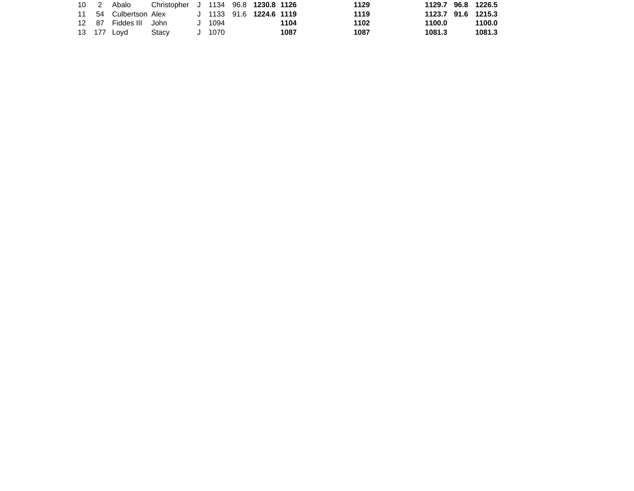|  | 10 2 Abalo            | Christopher J 1134 96.8 1230.8 1126           |          |  |      | 1129 | 1129.7 96.8 1226.5 |        |
|--|-----------------------|-----------------------------------------------|----------|--|------|------|--------------------|--------|
|  |                       | 11 54 Culbertson Alex J 1133 91.6 1224.6 1119 |          |  |      | 1119 | 1123.7 91.6 1215.3 |        |
|  | 12 87 Fiddes III John |                                               | $J$ 1094 |  | 1104 | 1102 | 1100.0             | 1100.0 |
|  | 13 177 Lovd           | Stacv                                         | J 1070   |  | 1087 | 1087 | 1081.3             | 1081.3 |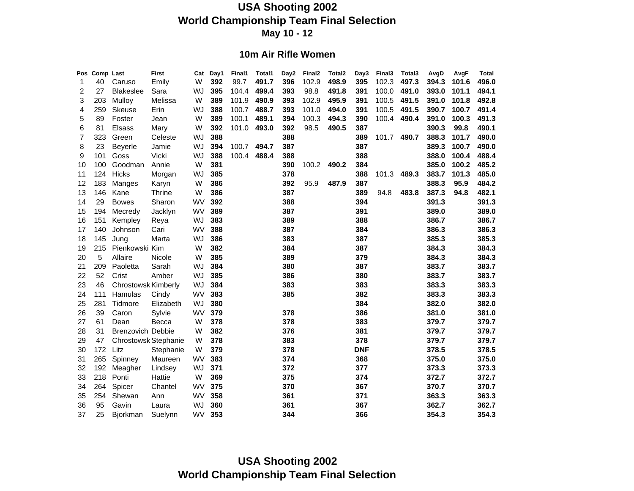#### **10m Air Rifle Women**

| <b>Pos</b> | Comp Last |                            | <b>First</b> | Cat       | Day1 | Final1 | Total1 | Day2 | Final <sub>2</sub> | Total <sub>2</sub> | Day3       | Final3 | Total3 | AvgD  | AvgF  | <b>Total</b> |
|------------|-----------|----------------------------|--------------|-----------|------|--------|--------|------|--------------------|--------------------|------------|--------|--------|-------|-------|--------------|
| 1          | 40        | Caruso                     | Emily        | W         | 392  | 99.7   | 491.7  | 396  | 102.9              | 498.9              | 395        | 102.3  | 497.3  | 394.3 | 101.6 | 496.0        |
| 2          | 27        | <b>Blakeslee</b>           | Sara         | WJ        | 395  | 104.4  | 499.4  | 393  | 98.8               | 491.8              | 391        | 100.0  | 491.0  | 393.0 | 101.1 | 494.1        |
| 3          | 203       | Mulloy                     | Melissa      | W         | 389  | 101.9  | 490.9  | 393  | 102.9              | 495.9              | 391        | 100.5  | 491.5  | 391.0 | 101.8 | 492.8        |
| 4          | 259       | <b>Skeuse</b>              | Erin         | WJ        | 388  | 100.7  | 488.7  | 393  | 101.0              | 494.0              | 391        | 100.5  | 491.5  | 390.7 | 100.7 | 491.4        |
| 5          | 89        | Foster                     | Jean         | W         | 389  | 100.1  | 489.1  | 394  | 100.3              | 494.3              | 390        | 100.4  | 490.4  | 391.0 | 100.3 | 491.3        |
| 6          | 81        | <b>Elsass</b>              | Mary         | W         | 392  | 101.0  | 493.0  | 392  | 98.5               | 490.5              | 387        |        |        | 390.3 | 99.8  | 490.1        |
| 7          | 323       | Green                      | Celeste      | WJ        | 388  |        |        | 388  |                    |                    | 389        | 101.7  | 490.7  | 388.3 | 101.7 | 490.0        |
| 8          | 23        | <b>Beyerle</b>             | Jamie        | WJ        | 394  | 100.7  | 494.7  | 387  |                    |                    | 387        |        |        | 389.3 | 100.7 | 490.0        |
| 9          | 101       | Goss                       | Vicki        | WJ        | 388  | 100.4  | 488.4  | 388  |                    |                    | 388        |        |        | 388.0 | 100.4 | 488.4        |
| 10         | 100       | Goodman                    | Annie        | W         | 381  |        |        | 390  | 100.2              | 490.2              | 384        |        |        | 385.0 | 100.2 | 485.2        |
| 11         | 124       | <b>Hicks</b>               | Morgan       | WJ        | 385  |        |        | 378  |                    |                    | 388        | 101.3  | 489.3  | 383.7 | 101.3 | 485.0        |
| 12         | 183       | Manges                     | Karyn        | W         | 386  |        |        | 392  | 95.9               | 487.9              | 387        |        |        | 388.3 | 95.9  | 484.2        |
| 13         | 146       | Kane                       | Thrine       | W         | 386  |        |        | 387  |                    |                    | 389        | 94.8   | 483.8  | 387.3 | 94.8  | 482.1        |
| 14         | 29        | <b>Bowes</b>               | Sharon       | WV        | 392  |        |        | 388  |                    |                    | 394        |        |        | 391.3 |       | 391.3        |
| 15         | 194       | Mecredy                    | Jacklyn      | WV        | 389  |        |        | 387  |                    |                    | 391        |        |        | 389.0 |       | 389.0        |
| 16         | 151       | Kempley                    | Reya         | WJ        | 383  |        |        | 389  |                    |                    | 388        |        |        | 386.7 |       | 386.7        |
| 17         | 140       | Johnson                    | Cari         | WV        | 388  |        |        | 387  |                    |                    | 384        |        |        | 386.3 |       | 386.3        |
| 18         | 145       | Jung                       | Marta        | WJ        | 386  |        |        | 383  |                    |                    | 387        |        |        | 385.3 |       | 385.3        |
| 19         | 215       | Pienkowski Kim             |              | W         | 382  |        |        | 384  |                    |                    | 387        |        |        | 384.3 |       | 384.3        |
| 20         | 5         | Allaire                    | Nicole       | W         | 385  |        |        | 389  |                    |                    | 379        |        |        | 384.3 |       | 384.3        |
| 21         | 209       | Paoletta                   | Sarah        | WJ        | 384  |        |        | 380  |                    |                    | 387        |        |        | 383.7 |       | 383.7        |
| 22         | 52        | Crist                      | Amber        | WJ        | 385  |        |        | 386  |                    |                    | 380        |        |        | 383.7 |       | 383.7        |
| 23         | 46        | <b>Chrostowsk Kimberly</b> |              | WJ        | 384  |        |        | 383  |                    |                    | 383        |        |        | 383.3 |       | 383.3        |
| 24         | 111       | Hamulas                    | Cindy        | WV        | 383  |        |        | 385  |                    |                    | 382        |        |        | 383.3 |       | 383.3        |
| 25         | 281       | Tidmore                    | Elizabeth    | WJ        | 380  |        |        |      |                    |                    | 384        |        |        | 382.0 |       | 382.0        |
| 26         | 39        | Caron                      | Sylvie       | WV        | 379  |        |        | 378  |                    |                    | 386        |        |        | 381.0 |       | 381.0        |
| 27         | 61        | Dean                       | Becca        | W         | 378  |        |        | 378  |                    |                    | 383        |        |        | 379.7 |       | 379.7        |
| 28         | 31        | <b>Brenzovich Debbie</b>   |              | W         | 382  |        |        | 376  |                    |                    | 381        |        |        | 379.7 |       | 379.7        |
| 29         | 47        | Chrostowsk Stephanie       |              | W         | 378  |        |        | 383  |                    |                    | 378        |        |        | 379.7 |       | 379.7        |
| 30         | 172       | Litz                       | Stephanie    | W         | 379  |        |        | 378  |                    |                    | <b>DNF</b> |        |        | 378.5 |       | 378.5        |
| 31         | 265       | Spinney                    | Maureen      | WV        | 383  |        |        | 374  |                    |                    | 368        |        |        | 375.0 |       | 375.0        |
| 32         | 192       | Meagher                    | Lindsey      | WJ        | 371  |        |        | 372  |                    |                    | 377        |        |        | 373.3 |       | 373.3        |
| 33         | 218       | Ponti                      | Hattie       | W         | 369  |        |        | 375  |                    |                    | 374        |        |        | 372.7 |       | 372.7        |
| 34         | 264       | Spicer                     | Chantel      | WV        | 375  |        |        | 370  |                    |                    | 367        |        |        | 370.7 |       | 370.7        |
| 35         | 254       | Shewan                     | Ann          | WV        | 358  |        |        | 361  |                    |                    | 371        |        |        | 363.3 |       | 363.3        |
| 36         | 95        | Gavin                      | Laura        | WJ        | 360  |        |        | 361  |                    |                    | 367        |        |        | 362.7 |       | 362.7        |
| 37         | 25        | Bjorkman                   | Suelynn      | <b>WV</b> | 353  |        |        | 344  |                    |                    | 366        |        |        | 354.3 |       | 354.3        |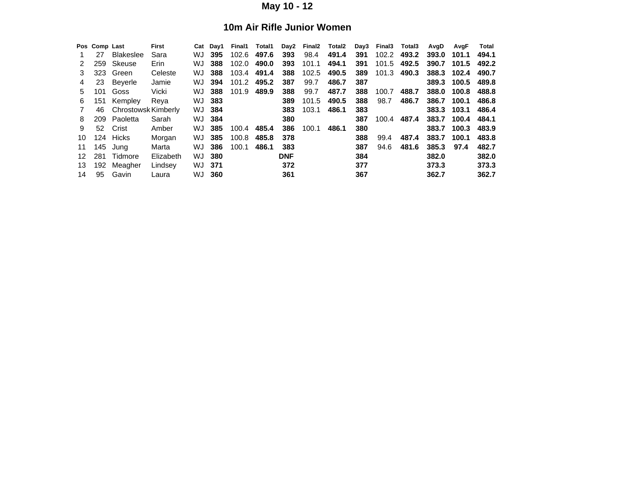#### **10m Air Rifle Junior Women**

|    | Pos Comp Last |                     | First     | Cat | Dav1 | Final1 | Total1 | Day2       | Final <sub>2</sub> | Total <sub>2</sub> | Day3 | Final <sub>3</sub> | Total3 | AvgD  | AvgF  | Total |
|----|---------------|---------------------|-----------|-----|------|--------|--------|------------|--------------------|--------------------|------|--------------------|--------|-------|-------|-------|
|    | 27            | <b>Blakeslee</b>    | Sara      | WJ  | 395  | 102.6  | 497.6  | 393        | 98.4               | 491.4              | 391  | 102.2              | 493.2  | 393.0 | 101.1 | 494.1 |
|    | 259           | Skeuse              | Erin      | WJ  | 388  | 102.0  | 490.0  | 393        | 101.1              | 494.1              | 391  | 101.5              | 492.5  | 390.7 | 101.5 | 492.2 |
| 3  | 323           | Green               | Celeste   | WJ  | 388  | 103.4  | 491.4  | 388        | 102.5              | 490.5              | 389  | 101.3              | 490.3  | 388.3 | 102.4 | 490.7 |
| 4  | 23            | Beverle             | Jamie     | WJ  | 394  | 101.2  | 495.2  | 387        | 99.7               | 486.7              | 387  |                    |        | 389.3 | 100.5 | 489.8 |
| 5. | 101           | Goss                | Vicki     | WJ  | 388  | 101.9  | 489.9  | 388        | 99.7               | 487.7              | 388  | 100.7              | 488.7  | 388.0 | 100.8 | 488.8 |
| 6  | 151           | Kempley             | Reya      | WJ  | 383  |        |        | 389        | 101.5              | 490.5              | 388  | 98.7               | 486.7  | 386.7 | 100.1 | 486.8 |
|    | 46            | Chrostowsk Kimberly |           | WJ  | 384  |        |        | 383        | 103.1              | 486.1              | 383  |                    |        | 383.3 | 103.1 | 486.4 |
| 8  | 209           | Paoletta            | Sarah     | WJ. | 384  |        |        | 380        |                    |                    | 387  | 100.4              | 487.4  | 383.7 | 100.4 | 484.1 |
| 9  | 52            | Crist               | Amber     | WJ  | 385  | 100.4  | 485.4  | 386        | 100.1              | 486.1              | 380  |                    |        | 383.7 | 100.3 | 483.9 |
| 10 | 124           | Hicks               | Morgan    | WJ  | 385  | 100.8  | 485.8  | 378        |                    |                    | 388  | 99.4               | 487.4  | 383.7 | 100.1 | 483.8 |
| 11 | 145           | Jung                | Marta     | WJ  | 386  | 100.1  | 486.1  | 383        |                    |                    | 387  | 94.6               | 481.6  | 385.3 | 97.4  | 482.7 |
| 12 | 281           | Tidmore             | Elizabeth | WJ  | 380  |        |        | <b>DNF</b> |                    |                    | 384  |                    |        | 382.0 |       | 382.0 |
| 13 | 192           | Meagher             | Lindsey   | WJ  | 371  |        |        | 372        |                    |                    | 377  |                    |        | 373.3 |       | 373.3 |
| 14 | 95            | Gavin               | Laura     | WJ  | 360  |        |        | 361        |                    |                    | 367  |                    |        | 362.7 |       | 362.7 |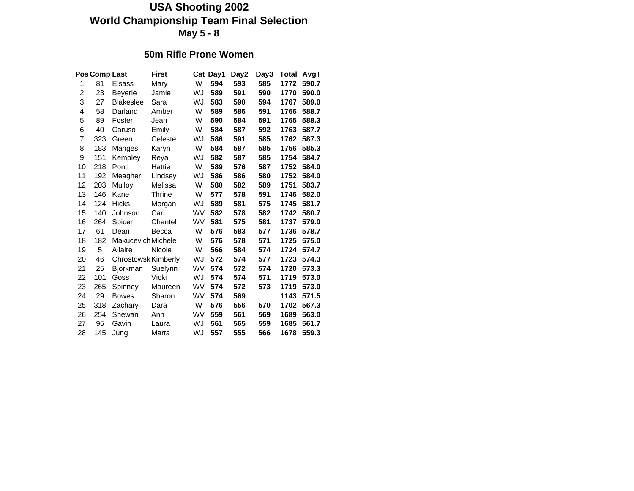#### **50m Rifle Prone Women**

|                | Pos Comp Last |                     | <b>First</b> |           | Cat Day1 | Day2 | Day3 | Total | AvgT  |
|----------------|---------------|---------------------|--------------|-----------|----------|------|------|-------|-------|
| 1              | 81            | Elsass              | Mary         | W         | 594      | 593  | 585  | 1772  | 590.7 |
| $\overline{c}$ | 23            | <b>Beyerle</b>      | Jamie        | WJ        | 589      | 591  | 590  | 1770  | 590.0 |
| 3              | 27            | <b>Blakeslee</b>    | Sara         | WJ        | 583      | 590  | 594  | 1767  | 589.0 |
| 4              | 58            | Darland             | Amber        | W         | 589      | 586  | 591  | 1766  | 588.7 |
| 5              | 89            | Foster              | Jean         | W         | 590      | 584  | 591  | 1765  | 588.3 |
| 6              | 40            | Caruso              | Emily        | W         | 584      | 587  | 592  | 1763  | 587.7 |
| $\overline{7}$ | 323           | Green               | Celeste      | WJ        | 586      | 591  | 585  | 1762  | 587.3 |
| 8              | 183           | Manges              | Karyn        | W         | 584      | 587  | 585  | 1756  | 585.3 |
| 9              | 151           | Kempley             | Reya         | WJ        | 582      | 587  | 585  | 1754  | 584.7 |
| 10             | 218           | Ponti               | Hattie       | W         | 589      | 576  | 587  | 1752  | 584.0 |
| 11             | 192           | Meagher             | Lindsey      | WJ        | 586      | 586  | 580  | 1752  | 584.0 |
| 12             | 203           | Mulloy              | Melissa      | W         | 580      | 582  | 589  | 1751  | 583.7 |
| 13             | 146           | Kane                | Thrine       | W         | 577      | 578  | 591  | 1746  | 582.0 |
| 14             | 124           | <b>Hicks</b>        | Morgan       | WJ        | 589      | 581  | 575  | 1745  | 581.7 |
| 15             | 140           | Johnson             | Cari         | WV        | 582      | 578  | 582  | 1742  | 580.7 |
| 16             | 264           | Spicer              | Chantel      | WV        | 581      | 575  | 581  | 1737  | 579.0 |
| 17             | 61            | Dean                | Becca        | W         | 576      | 583  | 577  | 1736  | 578.7 |
| 18             | 182           | Makucevich Michele  |              | W         | 576      | 578  | 571  | 1725  | 575.0 |
| 19             | 5             | Allaire             | Nicole       | W         | 566      | 584  | 574  | 1724  | 574.7 |
| 20             | 46            | Chrostowsk Kimberly |              | WJ        | 572      | 574  | 577  | 1723  | 574.3 |
| 21             | 25            | <b>Bjorkman</b>     | Suelynn      | WV        | 574      | 572  | 574  | 1720  | 573.3 |
| 22             | 101           | Goss                | Vicki        | WJ        | 574      | 574  | 571  | 1719  | 573.0 |
| 23             | 265           | Spinney             | Maureen      | <b>WV</b> | 574      | 572  | 573  | 1719  | 573.0 |
| 24             | 29            | <b>Bowes</b>        | Sharon       | WV        | 574      | 569  |      | 1143  | 571.5 |
| 25             | 318           | Zachary             | Dara         | W         | 576      | 556  | 570  | 1702  | 567.3 |
| 26             | 254           | Shewan              | Ann          | <b>WV</b> | 559      | 561  | 569  | 1689  | 563.0 |
| 27             | 95            | Gavin               | Laura        | WJ        | 561      | 565  | 559  | 1685  | 561.7 |
| 28             | 145           | Jung                | Marta        | WJ        | 557      | 555  | 566  | 1678  | 559.3 |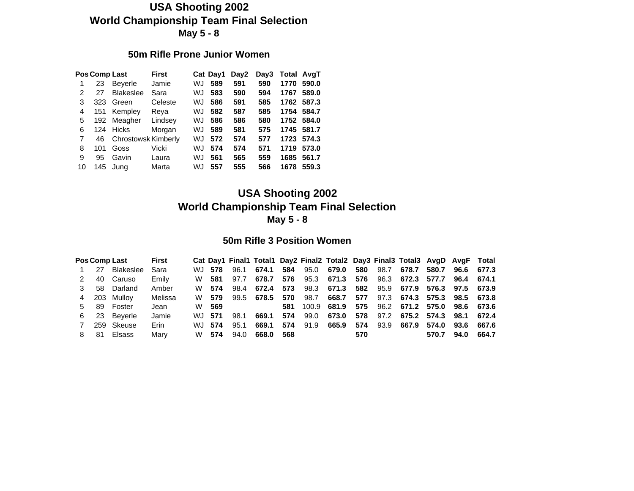#### **50m Rifle Prone Junior Women**

|    |     | <b>Pos Comp Last</b>       | <b>First</b> |    | Cat Day1 | Day2 | Day3 | <b>Total AvgT</b> |            |
|----|-----|----------------------------|--------------|----|----------|------|------|-------------------|------------|
|    | 23  | <b>Beverle</b>             | Jamie        | WJ | 589      | 591  | 590  | 1770              | 590.0      |
| 2  | 27  | <b>Blakeslee</b>           | Sara         | WJ | 583      | 590  | 594  | 1767              | 589.0      |
| 3  | 323 | Green                      | Celeste      | WJ | 586      | 591  | 585  |                   | 1762 587.3 |
| 4  | 151 | Kempley                    | Reva         | WJ | 582      | 587  | 585  |                   | 1754 584.7 |
| 5  | 192 | Meagher                    | Lindsey      | WJ | 586      | 586  | 580  |                   | 1752 584.0 |
| 6  |     | 124 Hicks                  | Morgan       | WJ | 589      | 581  | 575  |                   | 1745 581.7 |
| 7  | 46  | <b>Chrostowsk Kimberly</b> |              | WJ | 572      | 574  | 577  |                   | 1723 574.3 |
| 8  | 101 | Goss                       | Vicki        | WJ | 574      | 574  | 571  | 1719              | 573.0      |
| 9  | 95  | Gavin                      | Laura        | WJ | 561      | 565  | 559  | 1685              | 561.7      |
| 10 | 145 | Jung                       | Marta        | WJ | 557      | 555  | 566  | 1678              | 559.3      |
|    |     |                            |              |    |          |      |      |                   |            |

### **USA Shooting 2002 World Championship Team Final Selection May 5 - 8**

#### **50m Rifle 3 Position Women**

|    |     | <b>Pos Comp Last</b> | <b>First</b> |         |      |            |     |      | Cat Day1 Final1 Total1 Day2 Final2 Total2 Day3 Final3 Total3 AvgD AvgF Total |     |      |                             |       |                  |       |
|----|-----|----------------------|--------------|---------|------|------------|-----|------|------------------------------------------------------------------------------|-----|------|-----------------------------|-------|------------------|-------|
|    | 27  | Blakeslee            | Sara         | WJ 578  | 96.1 | 674.1      | 584 |      | 95.0 679.0                                                                   | 580 | 98.7 | 678.7                       |       | 580.7 96.6 677.3 |       |
|    | 40  | Caruso               | Emily        | W 581   | 97.7 | 678.7      | 576 |      | 95.3 671.3 576                                                               |     |      | 96.3 672.3 577.7 96.4 674.1 |       |                  |       |
|    | 58  | Darland              | Amber        | W 574   |      | 98.4 672.4 | 573 |      | 98.3 671.3 582 95.9 677.9 576.3 97.5 673.9                                   |     |      |                             |       |                  |       |
| 4  |     | 203 Mullov           | Melissa      | W 579   |      | 99.5 678.5 | 570 | 98.7 | 668.7                                                                        | 577 |      | 97.3 674.3 575.3 98.5 673.8 |       |                  |       |
| 5. | 89  | Foster               | Jean         | W 569   |      |            | 581 |      | 100.9 681.9 575 96.2 671.2 575.0 98.6 673.6                                  |     |      |                             |       |                  |       |
| 6  | -23 | Beverle              | Jamie        | W.J 571 | 98.1 | 669.1      | 574 | 99.0 | 673.0                                                                        | 578 |      | 97.2 675.2 574.3 98.1 672.4 |       |                  |       |
|    |     | 259 Skeuse           | Erin         | W.J 574 | 95.1 | 669.1      | 574 | 91.9 | 665.9                                                                        | 574 |      | 93.9 667.9                  | 574.0 | 93.6             | 667.6 |
| 8. | -81 | <b>Elsass</b>        | Marv         | W 574   | 94.0 | 668.0      | 568 |      |                                                                              | 570 |      |                             | 570.7 | 94.0             | 664.7 |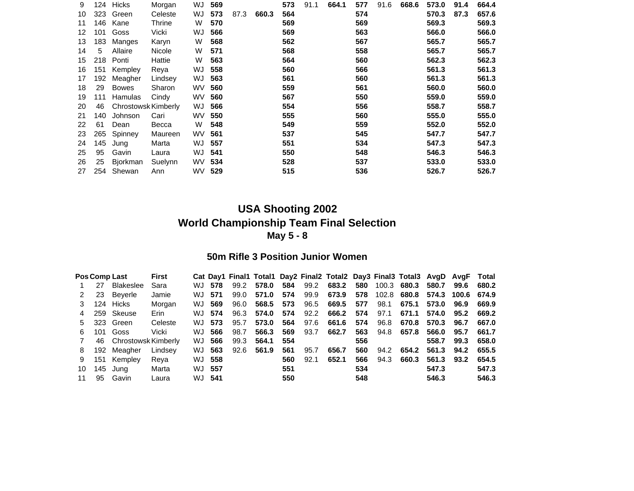| 9  | 124 | Hicks               | Morgan  | WJ        | 569 |      |       | 573 | 91.1 | 664.1 | 577 | 91.6 | 668.6 | 573.0 | 91.4 | 664.4 |
|----|-----|---------------------|---------|-----------|-----|------|-------|-----|------|-------|-----|------|-------|-------|------|-------|
| 10 | 323 | Green               | Celeste | WJ        | 573 | 87.3 | 660.3 | 564 |      |       | 574 |      |       | 570.3 | 87.3 | 657.6 |
| 11 | 146 | Kane                | Thrine  | W         | 570 |      |       | 569 |      |       | 569 |      |       | 569.3 |      | 569.3 |
| 12 | 101 | Goss                | Vicki   | WJ        | 566 |      |       | 569 |      |       | 563 |      |       | 566.0 |      | 566.0 |
| 13 | 183 | Manges              | Karyn   | W         | 568 |      |       | 562 |      |       | 567 |      |       | 565.7 |      | 565.7 |
| 14 | 5   | Allaire             | Nicole  | W         | 571 |      |       | 568 |      |       | 558 |      |       | 565.7 |      | 565.7 |
| 15 | 218 | Ponti               | Hattie  | W         | 563 |      |       | 564 |      |       | 560 |      |       | 562.3 |      | 562.3 |
| 16 | 151 | Kempley             | Reya    | WJ        | 558 |      |       | 560 |      |       | 566 |      |       | 561.3 |      | 561.3 |
| 17 | 192 | Meagher             | Lindsey | WJ        | 563 |      |       | 561 |      |       | 560 |      |       | 561.3 |      | 561.3 |
| 18 | 29  | <b>Bowes</b>        | Sharon  | <b>WV</b> | 560 |      |       | 559 |      |       | 561 |      |       | 560.0 |      | 560.0 |
| 19 | 111 | Hamulas             | Cindy   | WV.       | 560 |      |       | 567 |      |       | 550 |      |       | 559.0 |      | 559.0 |
| 20 | 46  | Chrostowsk Kimberly |         | WJ        | 566 |      |       | 554 |      |       | 556 |      |       | 558.7 |      | 558.7 |
| 21 | 140 | Johnson             | Cari    | <b>WV</b> | 550 |      |       | 555 |      |       | 560 |      |       | 555.0 |      | 555.0 |
| 22 | 61  | Dean                | Becca   | W         | 548 |      |       | 549 |      |       | 559 |      |       | 552.0 |      | 552.0 |
| 23 | 265 | Spinney             | Maureen | <b>WV</b> | 561 |      |       | 537 |      |       | 545 |      |       | 547.7 |      | 547.7 |
| 24 | 145 | Jung                | Marta   | WJ        | 557 |      |       | 551 |      |       | 534 |      |       | 547.3 |      | 547.3 |
| 25 | 95  | Gavin               | Laura   | WJ        | 541 |      |       | 550 |      |       | 548 |      |       | 546.3 |      | 546.3 |
| 26 | 25  | Bjorkman            | Suelynn | WV.       | 534 |      |       | 528 |      |       | 537 |      |       | 533.0 |      | 533.0 |
| 27 | 254 | Shewan              | Ann     | WV.       | 529 |      |       | 515 |      |       | 536 |      |       | 526.7 |      | 526.7 |

#### **50m Rifle 3 Position Junior Women**

|    |     | Pos Comp Last       | <b>First</b> |     |        |      |       |     |      | Cat Day1 Final1 Total1 Day2 Final2 Total2 Day3 Final3 Total3 AvgD AvgF Total |     |       |       |       |       |       |
|----|-----|---------------------|--------------|-----|--------|------|-------|-----|------|------------------------------------------------------------------------------|-----|-------|-------|-------|-------|-------|
|    | 27  | <b>Blakeslee</b>    | Sara         | WJ. | 578    | 99.2 | 578.0 | 584 | 99.2 | 683.2                                                                        | 580 | 100.3 | 680.3 | 580.7 | 99.6  | 680.2 |
|    | 23  | Beverle             | Jamie        | WJ. | 571    | 99.0 | 571.0 | 574 | 99.9 | 673.9                                                                        | 578 | 102.8 | 680.8 | 574.3 | 100.6 | 674.9 |
|    | 124 | Hicks               | Morgan       | WJ  | 569    | 96.0 | 568.5 | 573 | 96.5 | 669.5                                                                        | 577 | 98.1  | 675.1 | 573.0 | 96.9  | 669.9 |
|    | 259 | Skeuse              | Erin         |     | WJ 574 | 96.3 | 574.0 | 574 | 92.2 | 666.2                                                                        | 574 | 97.1  | 671.1 | 574.0 | 95.2  | 669.2 |
| 5. | 323 | Green               | Celeste      | WJ. | 573    | 95.7 | 573.0 | 564 | 97.6 | 661.6                                                                        | 574 | 96.8  | 670.8 | 570.3 | 96.7  | 667.0 |
| 6. | 101 | Goss                | Vicki        | WJ. | 566    | 98.7 | 566.3 | 569 | 93.7 | 662.7                                                                        | 563 | 94.8  | 657.8 | 566.0 | 95.7  | 661.7 |
|    | 46  | Chrostowsk Kimberly |              | WJ. | 566    | 99.3 | 564.1 | 554 |      |                                                                              | 556 |       |       | 558.7 | 99.3  | 658.0 |
| 8  | 192 | Meagher             | Lindsev      | WJ. | 563    | 92.6 | 561.9 | 561 | 95.7 | 656.7                                                                        | 560 | 94.2  | 654.2 | 561.3 | 94.2  | 655.5 |
| 9  | 151 | Kempley             | Reva         |     | WJ 558 |      |       | 560 | 92.1 | 652.1                                                                        | 566 | 94.3  | 660.3 | 561.3 | 93.2  | 654.5 |
| 10 | 145 | Jung                | Marta        | WJ. | - 557  |      |       | 551 |      |                                                                              | 534 |       |       | 547.3 |       | 547.3 |
| 11 | 95  | Gavin               | Laura        | WJ. | -541   |      |       | 550 |      |                                                                              | 548 |       |       | 546.3 |       | 546.3 |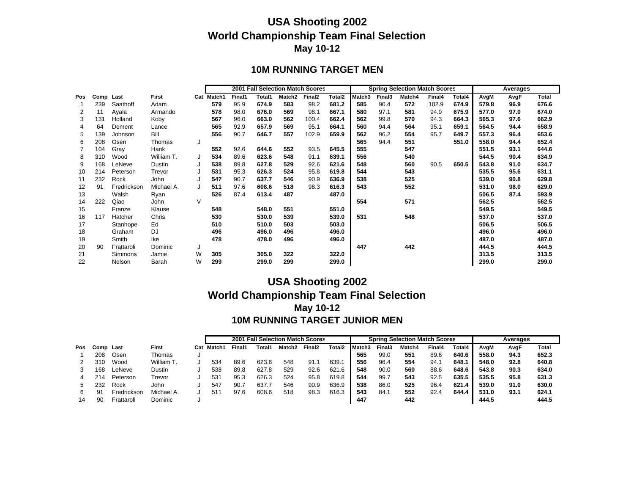#### **10M RUNNING TARGET MEN**

|     |           |             |              |   |            |        |        |                    | 2001 Fall Selection Match Scores |                    |        |        | <b>Spring Selection Match Scores</b> |        |        |       | Averages |              |
|-----|-----------|-------------|--------------|---|------------|--------|--------|--------------------|----------------------------------|--------------------|--------|--------|--------------------------------------|--------|--------|-------|----------|--------------|
| Pos | Comp Last |             | <b>First</b> |   | Cat Match1 | Final1 | Total1 | Match <sub>2</sub> | Final <sub>2</sub>               | Total <sub>2</sub> | Match3 | Final3 | Match4                               | Final4 | Total4 | AvgM  | AvgF     | <b>Total</b> |
|     | 239       | Saathoff    | Adam         |   | 579        | 95.9   | 674.9  | 583                | 98.2                             | 681.2              | 585    | 90.4   | 572                                  | 102.9  | 674.9  | 579.8 | 96.9     | 676.6        |
| 2   | 11        | Ayala       | Armando      |   | 578        | 98.0   | 676.0  | 569                | 98.1                             | 667.1              | 580    | 97.1   | 581                                  | 94.9   | 675.9  | 577.0 | 97.0     | 674.0        |
| 3   | 131       | Holland     | Koby         |   | 567        | 96.0   | 663.0  | 562                | 100.4                            | 662.4              | 562    | 99.8   | 570                                  | 94.3   | 664.3  | 565.3 | 97.6     | 662.9        |
|     | 64        | Dement      | Lance        |   | 565        | 92.9   | 657.9  | 569                | 95.1                             | 664.1              | 560    | 94.4   | 564                                  | 95.1   | 659.1  | 564.5 | 94.4     | 658.9        |
| 5   | 139       | Johnson     | Bill         |   | 556        | 90.7   | 646.7  | 557                | 102.9                            | 659.9              | 562    | 96.2   | 554                                  | 95.7   | 649.7  | 557.3 | 96.4     | 653.6        |
| 6   | 208       | Osen        | Thomas       |   |            |        |        |                    |                                  |                    | 565    | 94.4   | 551                                  |        | 551.0  | 558.0 | 94.4     | 652.4        |
|     | 104       | Gray        | Hank         |   | 552        | 92.6   | 644.6  | 552                | 93.5                             | 645.5              | 555    |        | 547                                  |        |        | 551.5 | 93.1     | 644.6        |
| 8   | 310       | Wood        | William T.   | J | 534        | 89.6   | 623.6  | 548                | 91.1                             | 639.1              | 556    |        | 540                                  |        |        | 544.5 | 90.4     | 634.9        |
| 9   | 168       | LeNeve      | Dustin       |   | 538        | 89.8   | 627.8  | 529                | 92.6                             | 621.6              | 548    |        | 560                                  | 90.5   | 650.5  | 543.8 | 91.0     | 634.7        |
| 10  | 214       | Peterson    | Trevor       |   | 531        | 95.3   | 626.3  | 524                | 95.8                             | 619.8              | 544    |        | 543                                  |        |        | 535.5 | 95.6     | 631.1        |
| 11  | 232       | Rock        | John         |   | 547        | 90.7   | 637.7  | 546                | 90.9                             | 636.9              | 538    |        | 525                                  |        |        | 539.0 | 90.8     | 629.8        |
| 12  | 91        | Fredrickson | Michael A.   |   | 511        | 97.6   | 608.6  | 518                | 98.3                             | 616.3              | 543    |        | 552                                  |        |        | 531.0 | 98.0     | 629.0        |
| 13  |           | Walsh       | Ryan         |   | 526        | 87.4   | 613.4  | 487                |                                  | 487.0              |        |        |                                      |        |        | 506.5 | 87.4     | 593.9        |
| 14  | 222       | Qiao        | John         | V |            |        |        |                    |                                  |                    | 554    |        | 571                                  |        |        | 562.5 |          | 562.5        |
| 15  |           | Franze      | Klause       |   | 548        |        | 548.0  | 551                |                                  | 551.0              |        |        |                                      |        |        | 549.5 |          | 549.5        |
| 16  | 117       | Hatcher     | Chris        |   | 530        |        | 530.0  | 539                |                                  | 539.0              | 531    |        | 548                                  |        |        | 537.0 |          | 537.0        |
| 17  |           | Stanhope    | Ed           |   | 510        |        | 510.0  | 503                |                                  | 503.0              |        |        |                                      |        |        | 506.5 |          | 506.5        |
| 18  |           | Graham      | DJ           |   | 496        |        | 496.0  | 496                |                                  | 496.0              |        |        |                                      |        |        | 496.0 |          | 496.0        |
| 19  |           | Smith       | Ike          |   | 478        |        | 478.0  | 496                |                                  | 496.0              |        |        |                                      |        |        | 487.0 |          | 487.0        |
| 20  | 90        | Frattaroli  | Dominic      | J |            |        |        |                    |                                  |                    | 447    |        | 442                                  |        |        | 444.5 |          | 444.5        |
| 21  |           | Simmons     | Jamie        | W | 305        |        | 305.0  | 322                |                                  | 322.0              |        |        |                                      |        |        | 313.5 |          | 313.5        |
| 22  |           | Nelson      | Sarah        | W | 299        |        | 299.0  | 299                |                                  | 299.0              |        |        |                                      |        |        | 299.0 |          | 299.0        |

#### **USA Shooting 2002 World Championship Team Final Selection May 10-12 10M RUNNING TARGET JUNIOR MEN**

|     |      |             |              |     |                    | 2001   |        | <b>Fall Selection Match Scores</b> |                    |           |          |        | <b>Spring Selection Match Scores</b> |        |        |       | Averages |       |
|-----|------|-------------|--------------|-----|--------------------|--------|--------|------------------------------------|--------------------|-----------|----------|--------|--------------------------------------|--------|--------|-------|----------|-------|
| Pos | Comp | Last        | <b>First</b> | Cat | Match <sup>*</sup> | Final1 | Total1 | Match <sub>2</sub>                 | Final <sub>2</sub> | Total2    | l Match3 | Final3 | Match4                               | Final4 | Total4 | AvaM  | AvgF     | Total |
|     | 208  | Osen        | Thomas       |     |                    |        |        |                                    |                    |           | 565      | 99.0   | 551                                  | 89.6   | 640.6  | 558.0 | 94.3     | 652.3 |
|     | 310  | Wood        | William T.   |     | 534                | 89.6   | 623.6  | 548                                | 91.1               | 639.1     | 556      | 96.4   | 554                                  | 94.7   | 648.1  | 548.0 | 92.8     | 640.8 |
|     | 168  | LeNeve      | Dustin       |     | 538                | 89.8   | 627.8  | 529                                | 92.6               | 621<br>.6 | 548      | 90.0   | 560                                  | 88.6   | 648.6  | 543.8 | 90.3     | 634.0 |
|     | 214  | Peterson    | Trevor       |     | 53'                | 95.3   | 626.3  | 524                                | 95.8               | 619.8     | 544      | 99.7   | 543                                  | 92.5   | 635.5  | 535.5 | 95.8     | 631.3 |
|     | 232  | Rock        | John         |     | 547                | 90.1   | 637.   | 546                                | 90.9               | 636.9     | 538      | 86.0   | 525                                  | 96.4   | 621.4  | 539.0 | 91.0     | 630.0 |
| 6   | 91   | Fredrickson | Michael A.   |     | 51                 | 97.6   | 608.6  | 518                                | 98.3               | 616.3     | 543      | 84.1   | 552                                  | 92.4   | 644.4  | 531.0 | 93.1     | 624.1 |
|     | 90   | Frattaroli  | Dominic      |     |                    |        |        |                                    |                    |           | 447      |        | 442                                  |        |        | 444.5 |          | 444.5 |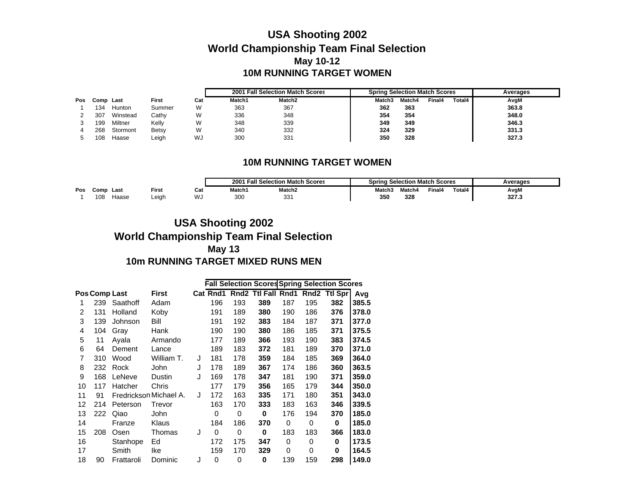### **USA Shooting 2002 World Championship Team Final Selection May 10-12 10M RUNNING TARGET WOMEN**

|     |      |          |              |     |        | 2001 Fall Selection Match Scores | <b>Spring Selection Match Scores</b> |        |        |        | Averages |
|-----|------|----------|--------------|-----|--------|----------------------------------|--------------------------------------|--------|--------|--------|----------|
| Pos | Comp | Last     | <b>First</b> | Cat | Match1 | Match <sub>2</sub>               | Match3                               | Match4 | Final4 | Total4 | AvgM     |
|     | 134  | Hunton   | Summer       | W   | 363    | 367                              | 362                                  | 363    |        |        | 363.8    |
|     | 307  | Winstead | Cathy        | W   | 336    | 348                              | 354                                  | 354    |        |        | 348.0    |
|     | 199  | Miltner  | Kelly        | W   | 348    | 339                              | 349                                  | 349    |        |        | 346.3    |
|     | 268  | Stormont | <b>Betsy</b> | W   | 340    | 332                              | 324                                  | 329    |        |        | 331.3    |
|     | 108  | Haase    | _eigh        | WJ  | 300    | 331                              | 350                                  | 328    |        |        | 327.3    |

#### **10M RUNNING TARGET WOMEN**

|     |             |       |       |      | 2001   | <b>Fall Selection Match Scores</b> | Sprina | <b>Selection Match Scores</b> |        |        | <b>\verages</b> |
|-----|-------------|-------|-------|------|--------|------------------------------------|--------|-------------------------------|--------|--------|-----------------|
| Pos | <b>Comp</b> | Last  | First | Cat  | Match1 | Match <sub>2</sub>                 | Match3 | 1atch4                        | Final4 | Total4 | AvgM            |
|     | 108         | Haase | Leiah | ں ۷. | 300    | $\sim$<br>ັບ                       | 350    | 328                           |        |        | 327.3           |

### **USA Shooting 2002 World Championship Team Final Selection May 13 10m RUNNING TARGET MIXED RUNS MEN**

|    |     |                      |                        |   |          |          |             |     |     | <b>Fall Selection Scores Spring Selection Scores</b> |       |
|----|-----|----------------------|------------------------|---|----------|----------|-------------|-----|-----|------------------------------------------------------|-------|
|    |     | <b>Pos Comp Last</b> | <b>First</b>           |   | Cat Rnd1 |          |             |     |     | Rnd2 Ttl Fall Rnd1 Rnd2 Ttl Spr                      | Avg   |
| 1  | 239 | Saathoff             | Adam                   |   | 196      | 193      | 389         | 187 | 195 | 382                                                  | 385.5 |
| 2  | 131 | Holland              | Koby                   |   | 191      | 189      | 380         | 190 | 186 | 376                                                  | 378.0 |
| 3  | 139 | Johnson              | Bill                   |   | 191      | 192      | 383         | 184 | 187 | 371                                                  | 377.0 |
| 4  | 104 | Gray                 | Hank                   |   | 190      | 190      | 380         | 186 | 185 | 371                                                  | 375.5 |
| 5  | 11  | Ayala                | Armando                |   | 177      | 189      | 366         | 193 | 190 | 383                                                  | 374.5 |
| 6  | 64  | Dement               | Lance                  |   | 189      | 183      | 372         | 181 | 189 | 370                                                  | 371.0 |
| 7  | 310 | Wood                 | William T.             | J | 181      | 178      | 359         | 184 | 185 | 369                                                  | 364.0 |
| 8  | 232 | Rock                 | John                   | J | 178      | 189      | 367         | 174 | 186 | 360                                                  | 363.5 |
| 9  | 168 | LeNeve               | Dustin                 | J | 169      | 178      | 347         | 181 | 190 | 371                                                  | 359.0 |
| 10 | 117 | Hatcher              | Chris                  |   | 177      | 179      | 356         | 165 | 179 | 344                                                  | 350.0 |
| 11 | 91  |                      | Fredrickson Michael A. | J | 172      | 163      | 335         | 171 | 180 | 351                                                  | 343.0 |
| 12 | 214 | Peterson             | Trevor                 |   | 163      | 170      | 333         | 183 | 163 | 346                                                  | 339.5 |
| 13 | 222 | Qiao                 | John                   |   | 0        | $\Omega$ | 0           | 176 | 194 | 370                                                  | 185.0 |
| 14 |     | Franze               | Klaus                  |   | 184      | 186      | 370         | 0   | 0   | 0                                                    | 185.0 |
| 15 | 208 | Osen                 | Thomas                 | J | 0        | 0        | 0           | 183 | 183 | 366                                                  | 183.0 |
| 16 |     | Stanhope             | Ed                     |   | 172      | 175      | 347         | 0   | 0   | 0                                                    | 173.5 |
| 17 |     | Smith                | Ike                    |   | 159      | 170      | 329         | 0   | 0   | 0                                                    | 164.5 |
| 18 | 90  | Frattaroli           | Dominic                | J | 0        | 0        | $\mathbf 0$ | 139 | 159 | 298                                                  | 149.0 |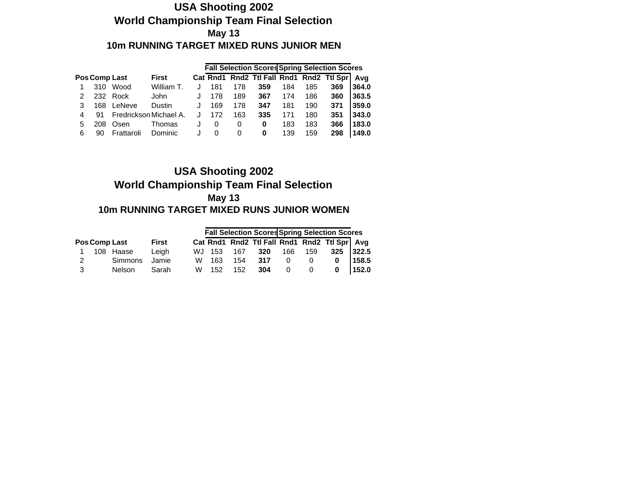#### **USA Shooting 2002 World Championship Team Final Selection May 13 10m RUNNING TARGET MIXED RUNS JUNIOR MEN**

|   |     |                      |                        |   |     |     |     |     |     | <b>Fall Selection Scores Spring Selection Scores</b> |       |
|---|-----|----------------------|------------------------|---|-----|-----|-----|-----|-----|------------------------------------------------------|-------|
|   |     | <b>Pos Comp Last</b> | <b>First</b>           |   |     |     |     |     |     | Cat Rnd1 Rnd2 Ttl Fall Rnd1 Rnd2 Ttl Spr             | Ava   |
|   | 310 | Wood                 | William T.             |   | 181 | 178 | 359 | 184 | 185 | 369                                                  | 364.0 |
|   |     | 232 Rock             | John                   | J | 178 | 189 | 367 | 174 | 186 | 360                                                  | 363.5 |
|   |     | 168 LeNeve           | Dustin                 | J | 169 | 178 | 347 | 181 | 190 | 371                                                  | 359.0 |
|   | 91  |                      | Fredrickson Michael A. | J | 172 | 163 | 335 | 171 | 180 | 351                                                  | 343.0 |
| 5 | 208 | Osen                 | Thomas                 | J | 0   | 0   | 0   | 183 | 183 | 366                                                  | 183.0 |
| 6 | 90  | Frattaroli           | Dominic                | J | 0   | 0   | 0   | 139 | 159 | 298                                                  | 149.0 |

#### **USA Shooting 2002 World Championship Team Final Selection May 13 10m RUNNING TARGET MIXED RUNS JUNIOR WOMEN**

|   |                      |              |       |            |         |                |         | <b>Fall Selection Scores Spring Selection Scores</b> |       |
|---|----------------------|--------------|-------|------------|---------|----------------|---------|------------------------------------------------------|-------|
|   | <b>Pos Comp Last</b> | <b>First</b> |       |            |         |                |         | Cat Rnd1 Rnd2 Ttl Fall Rnd1 Rnd2 Ttl Spr Avg         |       |
|   | 108 Haase            | Leigh        |       | WJ 153 167 | 320     |                | 166 159 | $325$ 322.5                                          |       |
| 2 | Simmons              | Jamie        | W 163 |            | 154 317 | $\Omega$       | 0       | 0                                                    | 158.5 |
| 3 | <b>Nelson</b>        | Sarah        | W 152 | 152        | 304     | $\overline{0}$ |         | 0                                                    | 152.0 |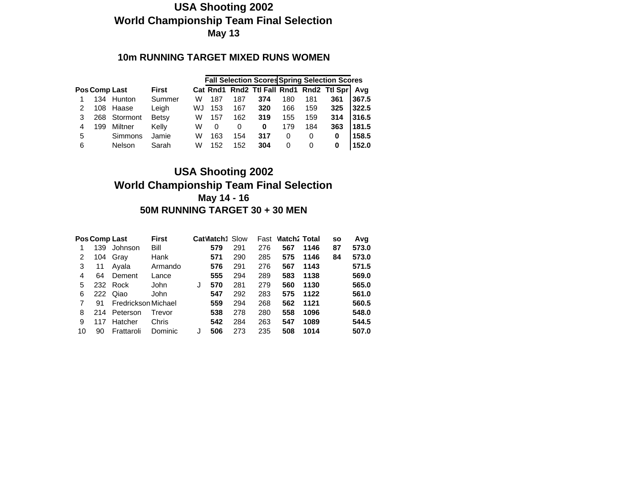#### **10m RUNNING TARGET MIXED RUNS WOMEN**

|   |     |                      |              |    |          |     |     |     |     | <b>Fall Selection Scores Spring Selection Scores</b> |       |
|---|-----|----------------------|--------------|----|----------|-----|-----|-----|-----|------------------------------------------------------|-------|
|   |     | <b>Pos Comp Last</b> | <b>First</b> |    |          |     |     |     |     | Cat Rnd1 Rnd2 Ttl Fall Rnd1 Rnd2 Ttl Spr             | Ava   |
|   |     | 134 Hunton           | Summer       | W  | 187      | 187 | 374 | 180 | 181 | 361                                                  | 367.5 |
|   | 108 | Haase                | Leigh        | WJ | 153      | 167 | 320 | 166 | 159 | 325                                                  | 322.5 |
| 3 |     | 268 Stormont         | <b>Betsy</b> | W  | 157      | 162 | 319 | 155 | 159 | 314                                                  | 316.5 |
| 4 | 199 | Miltner              | Kelly        | W  | $\Omega$ | 0   | 0   | 179 | 184 | 363                                                  | 181.5 |
| 5 |     | Simmons              | Jamie        | W  | 163      | 154 | 317 | 0   | 0   | 0                                                    | 158.5 |
| 6 |     | Nelson               | Sarah        | W  | 152      | 152 | 304 | 0   | 0   | 0                                                    | 152.0 |

#### **USA Shooting 2002 World Championship Team Final Selection May 14 - 16 50M RUNNING TARGET 30 + 30 MEN**

|    | <b>Pos Comp Last</b> |                     | <b>First</b> |   | <b>CatVlatch1 Slow</b> |     | Fast | Match: Total |      | <b>SO</b> | Avq   |
|----|----------------------|---------------------|--------------|---|------------------------|-----|------|--------------|------|-----------|-------|
|    | 139                  | Johnson             | Bill         |   | 579                    | 291 | 276  | 567          | 1146 | 87        | 573.0 |
| 2  | 104                  | Gray                | Hank         |   | 571                    | 290 | 285  | 575          | 1146 | 84        | 573.0 |
| 3  | 11                   | Avala               | Armando      |   | 576                    | 291 | 276  | 567          | 1143 |           | 571.5 |
| 4  | 64                   | Dement              | Lance        |   | 555                    | 294 | 289  | 583          | 1138 |           | 569.0 |
| 5  | 232                  | Rock                | John         | J | 570                    | 281 | 279  | 560          | 1130 |           | 565.0 |
| 6  | 222                  | Qiao                | John         |   | 547                    | 292 | 283  | 575          | 1122 |           | 561.0 |
|    | 91                   | Fredrickson Michael |              |   | 559                    | 294 | 268  | 562          | 1121 |           | 560.5 |
| 8  | 214                  | Peterson            | Trevor       |   | 538                    | 278 | 280  | 558          | 1096 |           | 548.0 |
| 9  | 117                  | Hatcher             | Chris        |   | 542                    | 284 | 263  | 547          | 1089 |           | 544.5 |
| 10 | 90                   | Frattaroli          | Dominic      |   | 506                    | 273 | 235  | 508          | 1014 |           | 507.0 |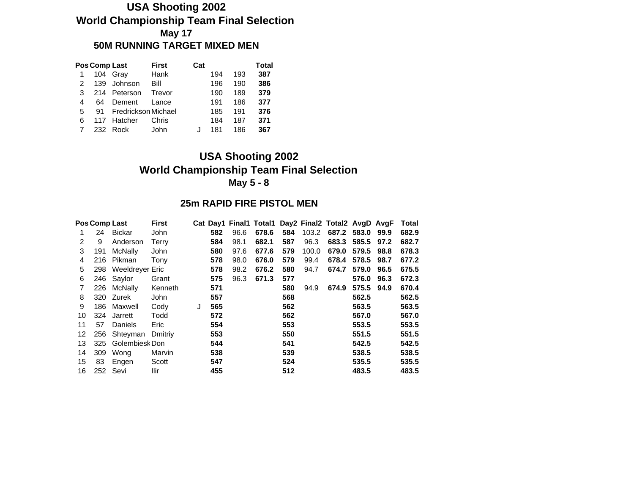## **USA Shooting 2002 World Championship Team Final Selection May 17 50M RUNNING TARGET MIXED MEN**

|   | Pos Comp Last |                        | <b>First</b> | Cat |     |     | Total |
|---|---------------|------------------------|--------------|-----|-----|-----|-------|
|   |               | 104 Gray               | Hank         |     | 194 | 193 | 387   |
| 2 | 139           | Johnson                | Bill         |     | 196 | 190 | 386   |
| 3 |               | 214 Peterson           | Trevor       |     | 190 | 189 | 379   |
| 4 | 64            | Dement                 | Lance        |     | 191 | 186 | 377   |
| 5 |               | 91 Fredrickson Michael |              |     | 185 | 191 | 376   |
| 6 |               | 117 Hatcher            | Chris        |     | 184 | 187 | 371   |
|   | 232           | Rock                   | John         |     | 181 | 186 | 367   |

## **USA Shooting 2002 World Championship Team Final Selection May 5 - 8**

#### **25m RAPID FIRE PISTOL MEN**

|    | <b>Pos Comp Last</b> |                 | <b>First</b> |   |     |      | Cat Day1 Final1 Total1 Day2 Final2 Total2 AvgD AvgF |     |       |             |       |      | Total |
|----|----------------------|-----------------|--------------|---|-----|------|-----------------------------------------------------|-----|-------|-------------|-------|------|-------|
|    | 24                   | <b>Bickar</b>   | John         |   | 582 | 96.6 | 678.6                                               | 584 | 103.2 | 687.2 583.0 |       | 99.9 | 682.9 |
| 2  | 9                    | Anderson        | Terry        |   | 584 | 98.1 | 682.1                                               | 587 | 96.3  | 683.3 585.5 |       | 97.2 | 682.7 |
| 3  | 191                  | McNally         | John         |   | 580 | 97.6 | 677.6                                               | 579 | 100.0 | 679.0       | 579.5 | 98.8 | 678.3 |
| 4  | 216                  | Pikman          | Tony         |   | 578 | 98.0 | 676.0                                               | 579 | 99.4  | 678.4       | 578.5 | 98.7 | 677.2 |
| 5  | 298                  | Weeldreyer Eric |              |   | 578 | 98.2 | 676.2                                               | 580 | 94.7  | 674.7       | 579.0 | 96.5 | 675.5 |
| 6  | 246                  | Saylor          | Grant        |   | 575 | 96.3 | 671.3                                               | 577 |       |             | 576.0 | 96.3 | 672.3 |
|    | 226                  | McNally         | Kenneth      |   | 571 |      |                                                     | 580 | 94.9  | 674.9       | 575.5 | 94.9 | 670.4 |
| 8  | 320                  | Zurek           | John         |   | 557 |      |                                                     | 568 |       |             | 562.5 |      | 562.5 |
| 9  | 186                  | Maxwell         | Cody         | J | 565 |      |                                                     | 562 |       |             | 563.5 |      | 563.5 |
| 10 | 324                  | Jarrett         | Todd         |   | 572 |      |                                                     | 562 |       |             | 567.0 |      | 567.0 |
| 11 | 57                   | Daniels         | Eric         |   | 554 |      |                                                     | 553 |       |             | 553.5 |      | 553.5 |
| 12 | 256                  | Shteyman        | Dmitriv      |   | 553 |      |                                                     | 550 |       |             | 551.5 |      | 551.5 |
| 13 | 325                  | Golembiesk Don  |              |   | 544 |      |                                                     | 541 |       |             | 542.5 |      | 542.5 |
| 14 | 309                  | Wong            | Marvin       |   | 538 |      |                                                     | 539 |       |             | 538.5 |      | 538.5 |
| 15 | 83                   | Engen           | Scott        |   | 547 |      |                                                     | 524 |       |             | 535.5 |      | 535.5 |
| 16 | 252                  | Sevi            | Ilir         |   | 455 |      |                                                     | 512 |       |             | 483.5 |      | 483.5 |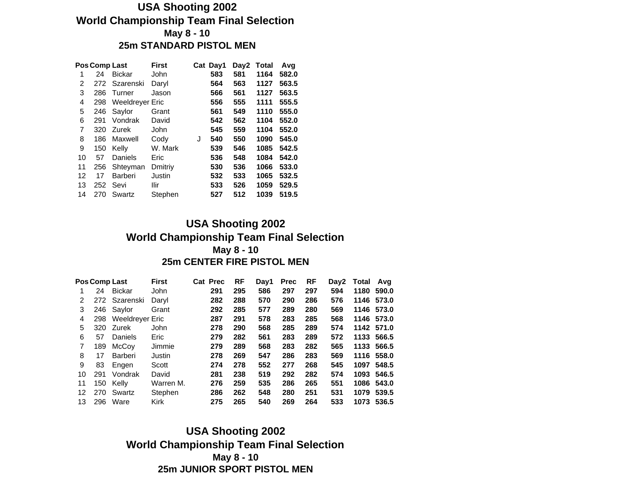#### **USA Shooting 2002 World Championship Team Final Selection May 8 - 10 25m STANDARD PISTOL MEN**

|    | Pos Comp Last |                        | <b>First</b> |   | Cat Day1 | Day2 | Total | Avq   |
|----|---------------|------------------------|--------------|---|----------|------|-------|-------|
| 1  | 24            | <b>Bickar</b>          | John         |   | 583      | 581  | 1164  | 582.0 |
| 2  | 272           | Szarenski              | Daryl        |   | 564      | 563  | 1127  | 563.5 |
| 3  | 286           | Turner                 | Jason        |   | 566      | 561  | 1127  | 563.5 |
| 4  | 298           | <b>Weeldreyer Eric</b> |              |   | 556      | 555  | 1111  | 555.5 |
| 5  | 246           | Saylor                 | Grant        |   | 561      | 549  | 1110  | 555.0 |
| 6  | 291           | Vondrak                | David        |   | 542      | 562  | 1104  | 552.0 |
| 7  | 320           | Zurek                  | John         |   | 545      | 559  | 1104  | 552.0 |
| 8  | 186           | Maxwell                | Cody         | J | 540      | 550  | 1090  | 545.0 |
| 9  | 150           | Kelly                  | W. Mark      |   | 539      | 546  | 1085  | 542.5 |
| 10 | 57            | Daniels                | Eric         |   | 536      | 548  | 1084  | 542.0 |
| 11 | 256           | Shteyman               | Dmitriy      |   | 530      | 536  | 1066  | 533.0 |
| 12 | 17            | Barberi                | Justin       |   | 532      | 533  | 1065  | 532.5 |
| 13 | 252           | Sevi                   | Ilir         |   | 533      | 526  | 1059  | 529.5 |
| 14 | 270           | Swartz                 | Stephen      |   | 527      | 512  | 1039  | 519.5 |

#### **USA Shooting 2002 World Championship Team Final Selection May 8 - 10 25m CENTER FIRE PISTOL MEN**

|    |     | Pos Comp Last   | <b>First</b> | <b>Cat Prec</b> | <b>RF</b> | Day1 | <b>Prec</b> | <b>RF</b> | Day2 | Total | Avg        |
|----|-----|-----------------|--------------|-----------------|-----------|------|-------------|-----------|------|-------|------------|
|    | 24  | <b>Bickar</b>   | <b>John</b>  | 291             | 295       | 586  | 297         | 297       | 594  | 1180  | 590.0      |
| 2  |     | 272 Szarenski   | Daryl        | 282             | 288       | 570  | 290         | 286       | 576  |       | 1146 573.0 |
| 3  |     | 246 Saylor      | Grant        | 292             | 285       | 577  | 289         | 280       | 569  |       | 1146 573.0 |
| 4  | 298 | Weeldreyer Eric |              | 287             | 291       | 578  | 283         | 285       | 568  |       | 1146 573.0 |
| 5  | 320 | Zurek           | John         | 278             | 290       | 568  | 285         | 289       | 574  |       | 1142 571.0 |
| 6  | 57  | Daniels         | Eric         | 279             | 282       | 561  | 283         | 289       | 572  | 1133  | 566.5      |
| 7  | 189 | McCoy           | Jimmie       | 279             | 289       | 568  | 283         | 282       | 565  | 1133  | 566.5      |
| 8  | 17  | Barberi         | Justin       | 278             | 269       | 547  | 286         | 283       | 569  | 1116  | 558.0      |
| 9  | 83  | Engen           | Scott        | 274             | 278       | 552  | 277         | 268       | 545  | 1097  | 548.5      |
| 10 | 291 | Vondrak         | David        | 281             | 238       | 519  | 292         | 282       | 574  | 1093  | 546.5      |
| 11 | 150 | Kelly           | Warren M.    | 276             | 259       | 535  | 286         | 265       | 551  | 1086  | 543.0      |
| 12 | 270 | Swartz          | Stephen      | 286             | 262       | 548  | 280         | 251       | 531  | 1079  | 539.5      |
| 13 | 296 | Ware            | <b>Kirk</b>  | 275             | 265       | 540  | 269         | 264       | 533  | 1073  | 536.5      |

**USA Shooting 2002 World Championship Team Final Selection May 8 - 10 25m JUNIOR SPORT PISTOL MEN**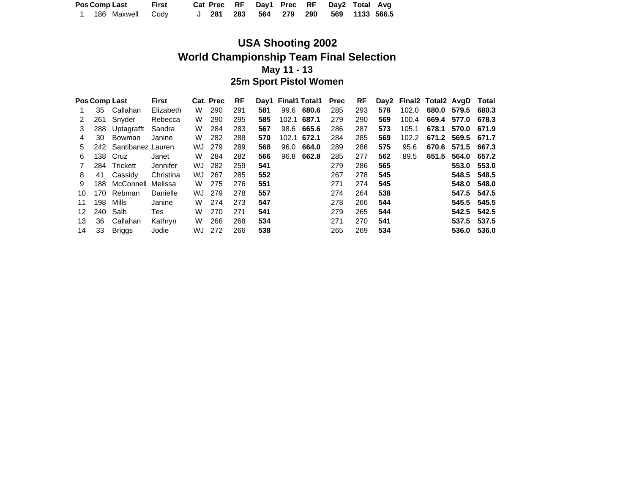|  | <b>Pos Comp Last</b> | First |  |  |  | Cat Prec RF Day1 Prec RF Day2 Total Avg |  |
|--|----------------------|-------|--|--|--|-----------------------------------------|--|
|  | 1 186 Maxwell Cody   |       |  |  |  | J 281 283 564 279 290 569 1133 566.5    |  |

## **USA Shooting 2002 World Championship Team Final Selection May 11 - 13 25m Sport Pistol Women**

|    | Pos Comp Last |                   | <b>First</b> |    | Cat. Prec | <b>RF</b> |     | Day1 Final1 Total1 |       | <b>Prec</b> | RF  |     |       | Day2 Final2 Total2 AvgD |       | Total |
|----|---------------|-------------------|--------------|----|-----------|-----------|-----|--------------------|-------|-------------|-----|-----|-------|-------------------------|-------|-------|
|    | 35            | Callahan          | Elizabeth    | W  | 290       | 291       | 581 | 99.6               | 680.6 | 285         | 293 | 578 | 102.0 | 680.0                   | 579.5 | 680.3 |
|    | 261           | Snyder            | Rebecca      | W  | 290       | 295       | 585 | 102.1              | 687.1 | 279         | 290 | 569 | 100.4 | 669.4                   | 577.0 | 678.3 |
| 3  | 288           | Uptagrafft        | Sandra       | W  | 284       | 283       | 567 | 98.6               | 665.6 | 286         | 287 | 573 | 105.1 | 678.1                   | 570.0 | 671.9 |
| 4  | 30            | Bowman            | Janine       | W  | 282       | 288       | 570 | 102.1              | 672.1 | 284         | 285 | 569 | 102.2 | 671.2                   | 569.5 | 671.7 |
| 5. | 242           | Santibanez Lauren |              | WJ | 279       | 289       | 568 | 96.0               | 664.0 | 289         | 286 | 575 | 95.6  | 670.6                   | 571.5 | 667.3 |
| 6. | 138           | Cruz              | Janet        | W  | 284       | 282       | 566 | 96.8               | 662.8 | 285         | 277 | 562 | 89.5  | 651.5                   | 564.0 | 657.2 |
|    | 284           | Trickett          | Jennifer     | WJ | 282       | 259       | 541 |                    |       | 279         | 286 | 565 |       |                         | 553.0 | 553.0 |
| 8  | 41            | Cassidy           | Christina    | WJ | 267       | 285       | 552 |                    |       | 267         | 278 | 545 |       |                         | 548.5 | 548.5 |
| 9  | 188           | McConnell         | Melissa      | W  | 275       | 276       | 551 |                    |       | 271         | 274 | 545 |       |                         | 548.0 | 548.0 |
| 10 | 170           | Rebman            | Danielle     | WJ | 279       | 278       | 557 |                    |       | 274         | 264 | 538 |       |                         | 547.5 | 547.5 |
| 11 | 198           | Mills             | Janine       | W  | 274       | 273       | 547 |                    |       | 278         | 266 | 544 |       |                         | 545.5 | 545.5 |
| 12 | 240           | Salb              | Tes          | W  | 270       | 271       | 541 |                    |       | 279         | 265 | 544 |       |                         | 542.5 | 542.5 |
| 13 | 36            | Callahan          | Kathryn      | W  | 266       | 268       | 534 |                    |       | 271         | 270 | 541 |       |                         | 537.5 | 537.5 |
| 14 | 33            | <b>Briggs</b>     | Jodie        | WJ | 272       | 266       | 538 |                    |       | 265         | 269 | 534 |       |                         | 536.0 | 536.0 |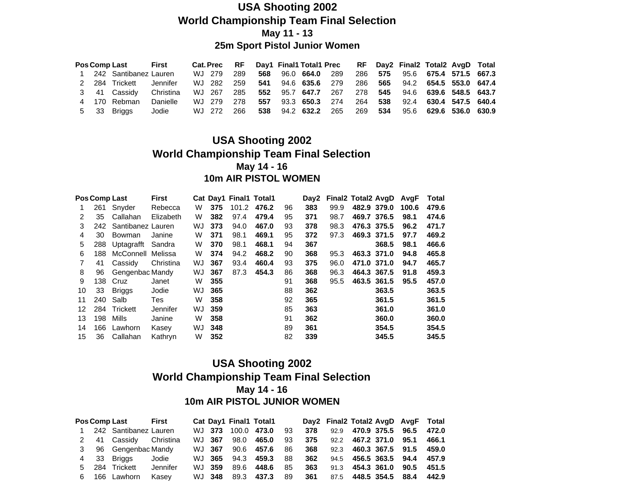### **USA Shooting 2002 World Championship Team Final Selection May 11 - 13 25m Sport Pistol Junior Women**

|  | <b>Pos Comp Last</b>    | <b>First</b> |            |      |     |  | Cat. Prec RF Day1 Final1 Total1 Prec RF Day2 Final2 Total2 AvgD Total |  |                                |  |
|--|-------------------------|--------------|------------|------|-----|--|-----------------------------------------------------------------------|--|--------------------------------|--|
|  | 1 242 Santibanez Lauren |              | WJ 279     | -289 | 568 |  | 96.0 664.0 289                                                        |  | 286 575 95.6 675.4 571.5 667.3 |  |
|  | 2 284 Trickett Jennifer |              | WJ 282 259 |      |     |  | 541 94.6 635.6 279 286 565 94.2 654.5 553.0 647.4                     |  |                                |  |
|  | 3 41 Cassidv            | Christina    |            |      |     |  | WJ 267 285 552 95.7 647.7 267 278 545 94.6 639.6 548.5 643.7          |  |                                |  |
|  | 4 170 Rebman            | Danielle     | WJ 279     | 278  | 557 |  | 93.3 650.3 274 264 538 92.4 630.4 547.5 640.4                         |  |                                |  |
|  | 5 33 Briggs             | Jodie        | WJ 272     | 266  | 538 |  | 94.2 632.2 265 269 534 95.6 629.6 536.0 630.9                         |  |                                |  |

### **USA Shooting 2002 World Championship Team Final Selection May 14 - 16 10m AIR PISTOL WOMEN**

|    |      | Pos Comp Last     | First     |    |     | Cat Day1 Final1 Total1 |       |    |     | Day2 Final2 Total2 AvgD |             |       | AvqF  | Total |
|----|------|-------------------|-----------|----|-----|------------------------|-------|----|-----|-------------------------|-------------|-------|-------|-------|
| 1  | 261  | Snyder            | Rebecca   | W  | 375 | 101.2                  | 476.2 | 96 | 383 | 99.9                    | 482.9 379.0 |       | 100.6 | 479.6 |
| 2  | 35   | Callahan          | Elizabeth | W  | 382 | 97.4                   | 479.4 | 95 | 371 | 98.7                    | 469.7 376.5 |       | 98.1  | 474.6 |
| 3  | 242. | Santibanez Lauren |           | WJ | 373 | 94.0                   | 467.0 | 93 | 378 | 98.3                    | 476.3 375.5 |       | 96.2  | 471.7 |
| 4  | 30   | Bowman            | Janine    | W  | 371 | 98.1                   | 469.1 | 95 | 372 | 97.3                    | 469.3 371.5 |       | 97.7  | 469.2 |
| 5  | 288  | Uptagrafft        | Sandra    | W  | 370 | 98.1                   | 468.1 | 94 | 367 |                         |             | 368.5 | 98.1  | 466.6 |
| 6  | 188  | McConnell         | Melissa   | W  | 374 | 94.2                   | 468.2 | 90 | 368 | 95.3                    | 463.3 371.0 |       | 94.8  | 465.8 |
| 7  | 41   | Cassidy           | Christina | WJ | 367 | 93.4                   | 460.4 | 93 | 375 | 96.0                    | 471.0 371.0 |       | 94.7  | 465.7 |
| 8  | 96   | Gengenbac Mandy   |           | WJ | 367 | 87.3                   | 454.3 | 86 | 368 | 96.3                    | 464.3 367.5 |       | 91.8  | 459.3 |
| 9  | 138  | Cruz              | Janet     | W  | 355 |                        |       | 91 | 368 | 95.5                    | 463.5 361.5 |       | 95.5  | 457.0 |
| 10 | 33   | <b>Briggs</b>     | Jodie     | WJ | 365 |                        |       | 88 | 362 |                         |             | 363.5 |       | 363.5 |
| 11 | 240  | Salb              | Tes       | W  | 358 |                        |       | 92 | 365 |                         |             | 361.5 |       | 361.5 |
| 12 |      | 284 Trickett      | Jennifer  | WJ | 359 |                        |       | 85 | 363 |                         |             | 361.0 |       | 361.0 |
| 13 | 198  | Mills             | Janine    | W  | 358 |                        |       | 91 | 362 |                         |             | 360.0 |       | 360.0 |
| 14 | 166  | Lawhorn           | Kasey     | WJ | 348 |                        |       | 89 | 361 |                         |             | 354.5 |       | 354.5 |
| 15 | 36   | Callahan          | Kathryn   | W  | 352 |                        |       | 82 | 339 |                         |             | 345.5 |       | 345.5 |

#### **USA Shooting 2002 World Championship Team Final Selection May 14 - 16 10m AIR PISTOL JUNIOR WOMEN**

|   | Pos Comp Last First     |          |        |             | Cat Day1 Final1 Total1 |      |     | Day2 Final2 Total2 AvgD AvgF Total |                       |  |       |
|---|-------------------------|----------|--------|-------------|------------------------|------|-----|------------------------------------|-----------------------|--|-------|
|   | 1 242 Santibanez Lauren |          | WJ 373 | 100.0 473.0 |                        | - 93 | 378 |                                    | 92.9 470.9 375.5 96.5 |  | 472.0 |
|   | 2 41 Cassidy Christina  |          | WJ 367 | 98.0        | 465.0                  | 93   | 375 |                                    | 92.2 467.2 371.0 95.1 |  | 466.1 |
|   | 3 96 Gengenbac Mandy    |          | WJ 367 | 90.6        | 457.6                  | 86   | 368 |                                    | 92.3 460.3 367.5 91.5 |  | 459.0 |
|   | 4 33 Briggs             | Jodie    | WJ 365 | 94.3        | 459.3                  | 88   | 362 |                                    | 94.5 456.5 363.5 94.4 |  | 457.9 |
|   | 5 284 Trickett          | Jennifer | WJ 359 | 89.6        | 448.6                  | 85   | 363 |                                    | 91.3 454.3 361.0 90.5 |  | 451.5 |
| 6 | 166 Lawhorn             | Kasev    | WJ 348 | 89.3        | 437.3                  | 89   | 361 |                                    | 87.5 448.5 354.5 88.4 |  | 442.9 |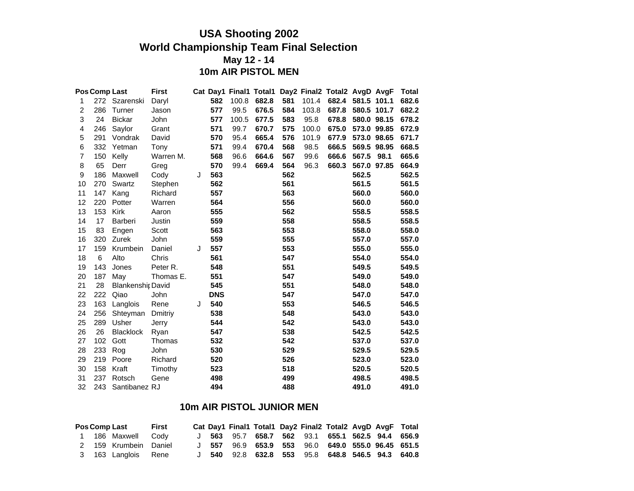### **USA Shooting 2002 World Championship Team Final Selection May 12 - 14 10m AIR PISTOL MEN**

|                | Pos Comp Last |                          | <b>First</b> |   |            |       |       |     |       | Cat Day1 Final1 Total1 Day2 Final2 Total2 AvgD AvgF |             |      | <b>Total</b> |  |
|----------------|---------------|--------------------------|--------------|---|------------|-------|-------|-----|-------|-----------------------------------------------------|-------------|------|--------------|--|
| 1              |               | 272 Szarenski            | Daryl        |   | 582        | 100.8 | 682.8 | 581 | 101.4 | 682.4 581.5 101.1                                   |             |      | 682.6        |  |
| $\overline{c}$ | 286           | Turner                   | Jason        |   | 577        | 99.5  | 676.5 | 584 | 103.8 | 687.8                                               | 580.5 101.7 |      | 682.2        |  |
| 3              | 24            | <b>Bickar</b>            | John         |   | 577        | 100.5 | 677.5 | 583 | 95.8  | 678.8                                               | 580.0 98.15 |      | 678.2        |  |
| 4              | 246           | Saylor                   | Grant        |   | 571        | 99.7  | 670.7 | 575 | 100.0 | 675.0                                               | 573.0 99.85 |      | 672.9        |  |
| 5              | 291           | Vondrak                  | David        |   | 570        | 95.4  | 665.4 | 576 | 101.9 | 677.9                                               | 573.0 98.65 |      | 671.7        |  |
| 6              | 332           | Yetman                   | Tony         |   | 571        | 99.4  | 670.4 | 568 | 98.5  | 666.5                                               | 569.5 98.95 |      | 668.5        |  |
| 7              | 150           | Kelly                    | Warren M.    |   | 568        | 96.6  | 664.6 | 567 | 99.6  | 666.6                                               | 567.5       | 98.1 | 665.6        |  |
| 8              | 65            | Derr                     | Greg         |   | 570        | 99.4  | 669.4 | 564 | 96.3  | 660.3                                               | 567.0 97.85 |      | 664.9        |  |
| 9              | 186           | Maxwell                  | Cody         | J | 563        |       |       | 562 |       |                                                     | 562.5       |      | 562.5        |  |
| 10             | 270           | Swartz                   | Stephen      |   | 562        |       |       | 561 |       |                                                     | 561.5       |      | 561.5        |  |
| 11             | 147           | Kang                     | Richard      |   | 557        |       |       | 563 |       |                                                     | 560.0       |      | 560.0        |  |
| 12             | 220           | Potter                   | Warren       |   | 564        |       |       | 556 |       |                                                     | 560.0       |      | 560.0        |  |
| 13             | 153           | Kirk                     | Aaron        |   | 555        |       |       | 562 |       |                                                     | 558.5       |      | 558.5        |  |
| 14             | 17            | Barberi                  | Justin       |   | 559        |       |       | 558 |       |                                                     | 558.5       |      | 558.5        |  |
| 15             | 83            | Engen                    | Scott        |   | 563        |       |       | 553 |       |                                                     | 558.0       |      | 558.0        |  |
| 16             | 320           | Zurek                    | John         |   | 559        |       |       | 555 |       |                                                     | 557.0       |      | 557.0        |  |
| 17             | 159           | Krumbein                 | Daniel       | J | 557        |       |       | 553 |       |                                                     | 555.0       |      | 555.0        |  |
| 18             | 6             | Alto                     | Chris        |   | 561        |       |       | 547 |       |                                                     | 554.0       |      | 554.0        |  |
| 19             | 143           | Jones                    | Peter R.     |   | 548        |       |       | 551 |       |                                                     | 549.5       |      | 549.5        |  |
| 20             | 187           | May                      | Thomas E.    |   | 551        |       |       | 547 |       |                                                     | 549.0       |      | 549.0        |  |
| 21             | 28            | <b>Blankenshir David</b> |              |   | 545        |       |       | 551 |       |                                                     | 548.0       |      | 548.0        |  |
| 22             | 222           | Qiao                     | John         |   | <b>DNS</b> |       |       | 547 |       |                                                     | 547.0       |      | 547.0        |  |
| 23             | 163           | Langlois                 | Rene         | J | 540        |       |       | 553 |       |                                                     | 546.5       |      | 546.5        |  |
| 24             | 256           | Shteyman                 | Dmitriy      |   | 538        |       |       | 548 |       |                                                     | 543.0       |      | 543.0        |  |
| 25             | 289           | Usher                    | Jerry        |   | 544        |       |       | 542 |       |                                                     | 543.0       |      | 543.0        |  |
| 26             | 26            | <b>Blacklock</b>         | Ryan         |   | 547        |       |       | 538 |       |                                                     | 542.5       |      | 542.5        |  |
| 27             | 102           | Gott                     | Thomas       |   | 532        |       |       | 542 |       |                                                     | 537.0       |      | 537.0        |  |
| 28             | 233           | Rog                      | John         |   | 530        |       |       | 529 |       |                                                     | 529.5       |      | 529.5        |  |
| 29             | 219           | Poore                    | Richard      |   | 520        |       |       | 526 |       |                                                     | 523.0       |      | 523.0        |  |
| 30             | 158           | Kraft                    | Timothy      |   | 523        |       |       | 518 |       |                                                     | 520.5       |      | 520.5        |  |
| 31             | 237           | Rotsch                   | Gene         |   | 498        |       |       | 499 |       |                                                     | 498.5       |      | 498.5        |  |
| 32             | 243           | Santibanez RJ            |              |   | 494        |       |       | 488 |       |                                                     | 491.0       |      | 491.0        |  |

#### **10m AIR PISTOL JUNIOR MEN**

|  | <b>Pos Comp Last</b>  | First |  |  |  | Cat Day1 Final1 Total1 Day2 Final2 Total2 AvgD AvgF Total |  |  |
|--|-----------------------|-------|--|--|--|-----------------------------------------------------------|--|--|
|  | 1 186 Maxwell Codv    |       |  |  |  | J 563 95.7 658.7 562 93.1 655.1 562.5 94.4 656.9          |  |  |
|  | 2 159 Krumbein Daniel |       |  |  |  | J 557 96.9 653.9 553 96.0 649.0 555.0 96.45 651.5         |  |  |
|  | 3 163 Langlois Rene   |       |  |  |  | $J$ 540 92.8 632.8 553 95.8 648.8 546.5 94.3 640.8        |  |  |